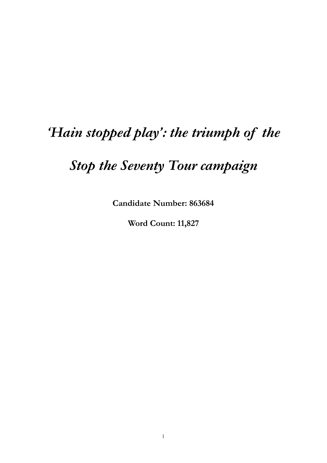# *'Hain stopped play': the triumph of the*

# *Stop the Seventy Tour campaign*

**Candidate Number: 863684** 

**Word Count: 11,827**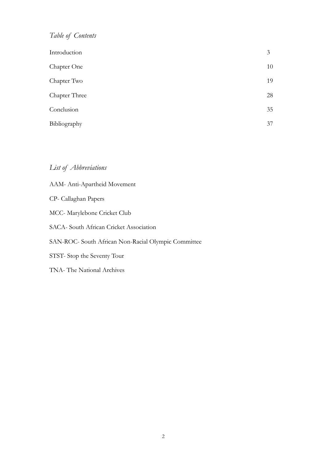## *Table of Contents*

| Introduction  | 3  |
|---------------|----|
| Chapter One   | 10 |
| Chapter Two   | 19 |
| Chapter Three | 28 |
| Conclusion    | 35 |
| Bibliography  | 37 |

## *List of Abbreviations*

| AAM-Anti-Apartheid Movement                         |
|-----------------------------------------------------|
| CP- Callaghan Papers                                |
| MCC-Marylebone Cricket Club                         |
| SACA- South African Cricket Association             |
| SAN-ROC- South African Non-Racial Olympic Committee |
| STST-Stop the Seventy Tour                          |
| TNA- The National Archives                          |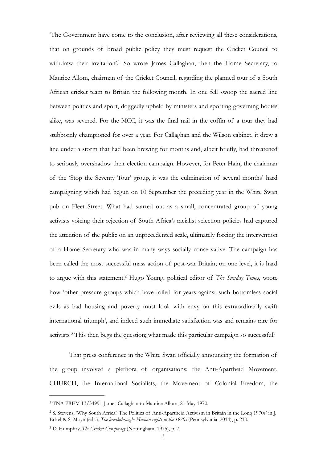<span id="page-2-3"></span>'The Government have come to the conclusion, after reviewing all these considerations, that on grounds of broad public policy they must request the Cricket Council to withdraw their invitation'[.](#page-2-0)<sup>[1](#page-2-0)</sup> So wrote James Callaghan, then the Home Secretary, to Maurice Allom, chairman of the Cricket Council, regarding the planned tour of a South African cricket team to Britain the following month. In one fell swoop the sacred line between politics and sport, doggedly upheld by ministers and sporting governing bodies alike, was severed. For the MCC, it was the final nail in the coffin of a tour they had stubbornly championed for over a year. For Callaghan and the Wilson cabinet, it drew a line under a storm that had been brewing for months and, albeit briefly, had threatened to seriously overshadow their election campaign. However, for Peter Hain, the chairman of the 'Stop the Seventy Tour' group, it was the culmination of several months' hard campaigning which had begun on 10 September the preceding year in the White Swan pub on Fleet Street. What had started out as a small, concentrated group of young activists voicing their rejection of South Africa's racialist selection policies had captured the attention of the public on an unprecedented scale, ultimately forcing the intervention of a Home Secretary who was in many ways socially conservative. The campaign has been called the most successful mass action of post-war Britain; on one level, it is hard to argue with this statement.<sup>[2](#page-2-1)</sup> Hugo Young, political editor of *The Sunday Times*, wrote how 'other pressure groups which have toiled for years against such bottomless social evils as bad housing and poverty must look with envy on this extraordinarily swift international triumph', and indeed such immediate satisfaction was and remains rare for activists.<sup>[3](#page-2-2)</sup> This then begs the question; what made this particular campaign so successful?

<span id="page-2-5"></span><span id="page-2-4"></span> That press conference in the White Swan officially announcing the formation of the group involved a plethora of organisations: the Anti-Apartheid Movement, CHURCH, the International Socialists, the Movement of Colonial Freedom, the

<span id="page-2-0"></span><sup>&</sup>lt;sup>[1](#page-2-3)</sup> TNA PREM 13/3499 - James Callaghan to Maurice Allom, 21 May 1970.

<span id="page-2-1"></span><sup>&</sup>lt;sup>[2](#page-2-4)</sup> S. Stevens, 'Why South Africa? The Politics of Anti-Apartheid Activism in Britain in the Long 1970s' in J. Eckel & S. Moyn (eds.), *The breakthrough: Human rights in the 1970s* (Pennsylvania, 2014), p. 210.

<span id="page-2-2"></span><sup>&</sup>lt;sup>[3](#page-2-5)</sup> D. Humphry, *The Cricket Conspiracy* (Nottingham, 1975), p. 7.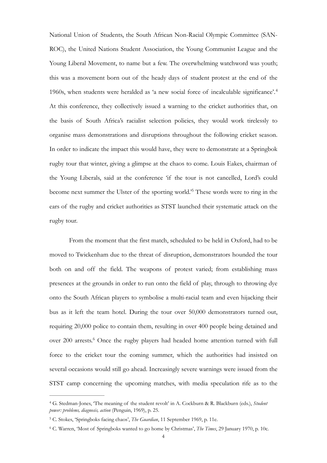<span id="page-3-3"></span>National Union of Students, the South African Non-Racial Olympic Committee (SAN-ROC), the United Nations Student Association, the Young Communist League and the Young Liberal Movement, to name but a few. The overwhelming watchword was youth; this was a movement born out of the heady days of student protest at the end of the 1960s, when students were heralded as 'a new social force of incalculable significance'.[4](#page-3-0) At this conference, they collectively issued a warning to the cricket authorities that, on the basis of South Africa's racialist selection policies, they would work tirelessly to organise mass demonstrations and disruptions throughout the following cricket season. In order to indicate the impact this would have, they were to demonstrate at a Springbok rugby tour that winter, giving a glimpse at the chaos to come. Louis Eakes, chairman of the Young Liberals, said at the conference 'if the tour is not cancelled, Lord's could become next summer the Ulster of the sporting world.<sup>[5](#page-3-1)</sup> These words were to ring in the ears of the rugby and cricket authorities as STST launched their systematic attack on the rugby tour.

<span id="page-3-4"></span> From the moment that the first match, scheduled to be held in Oxford, had to be moved to Twickenham due to the threat of disruption, demonstrators hounded the tour both on and off the field. The weapons of protest varied; from establishing mass presences at the grounds in order to run onto the field of play, through to throwing dye onto the South African players to symbolise a multi-racial team and even hijacking their bus as it left the team hotel. During the tour over 50,000 demonstrators turned out, requiring 20,000 police to contain them, resulting in over 400 people being detained and over200 arrests.<sup>[6](#page-3-2)</sup> Once the rugby players had headed home attention turned with full force to the cricket tour the coming summer, which the authorities had insisted on several occasions would still go ahead. Increasingly severe warnings were issued from the STST camp concerning the upcoming matches, with media speculation rife as to the

<span id="page-3-5"></span><span id="page-3-0"></span>G. Stedman-Jones, 'The meaning of the student revolt' in A. Cockburn & R. Blackburn (eds.), *Student* [4](#page-3-3) *power: problems, diagnosis, action* (Penguin, 1969), p. 25.

<span id="page-3-1"></span><sup>&</sup>lt;sup>[5](#page-3-4)</sup> C. Stokes, 'Springboks facing chaos', *The Guardian*, 11 September 1969, p. 11e.

<span id="page-3-2"></span>C. Warren, 'Most of Springboks wanted to go home by Christmas', *The Times*, 29 January 1970, p. 10c. [6](#page-3-5)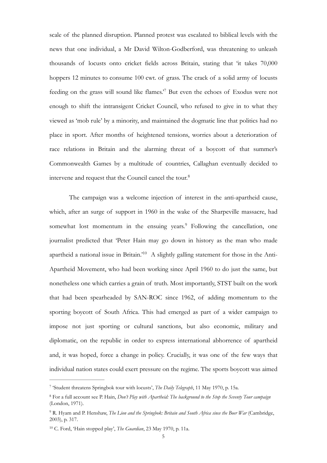<span id="page-4-4"></span>scale of the planned disruption. Planned protest was escalated to biblical levels with the news that one individual, a Mr David Wilton-Godberford, was threatening to unleash thousands of locusts onto cricket fields across Britain, stating that 'it takes 70,000 hoppers 12 minutes to consume 100 cwt. of grass. The crack of a solid army of locusts feedingon the grass will sound like flames.<sup>[7](#page-4-0)</sup> But even the echoes of Exodus were not enough to shift the intransigent Cricket Council, who refused to give in to what they viewed as 'mob rule' by a minority, and maintained the dogmatic line that politics had no place in sport. After months of heightened tensions, worries about a deterioration of race relations in Britain and the alarming threat of a boycott of that summer's Commonwealth Games by a multitude of countries, Callaghan eventually decided to intervene and request that the Council cancel the tour.[8](#page-4-1)

<span id="page-4-7"></span><span id="page-4-6"></span><span id="page-4-5"></span> The campaign was a welcome injection of interest in the anti-apartheid cause, which, after an surge of support in 1960 in the wake of the Sharpeville massacre, had somewhatlost momentum in the ensuing years.<sup>[9](#page-4-2)</sup> Following the cancellation, one journalist predicted that 'Peter Hain may go down in history as the man who made apartheid a national issue in Britain.<sup>'10</sup> A slightly galling statement for those in the Anti-Apartheid Movement, who had been working since April 1960 to do just the same, but nonetheless one which carries a grain of truth. Most importantly, STST built on the work that had been spearheaded by SAN-ROC since 1962, of adding momentum to the sporting boycott of South Africa. This had emerged as part of a wider campaign to impose not just sporting or cultural sanctions, but also economic, military and diplomatic, on the republic in order to express international abhorrence of apartheid and, it was hoped, force a change in policy. Crucially, it was one of the few ways that individual nation states could exert pressure on the regime. The sports boycott was aimed

<span id="page-4-0"></span><sup>&</sup>lt;sup>[7](#page-4-4)</sup> 'Student threatens Springbok tour with locusts', *The Daily Telegraph*, 11 May 1970, p. 15a.

<span id="page-4-1"></span><sup>&</sup>lt;sup>[8](#page-4-5)</sup> For a full account see P. Hain, *Don't Play with Apartheid: The background to the Stop the Seventy Tour campaign* (London, 1971).

<span id="page-4-2"></span><sup>&</sup>lt;sup>[9](#page-4-6)</sup> R. Hyam and P. Henshaw, *The Lion and the Springbok: Britain and South Africa since the Boer War (Cambridge,* 2003), p. 317.

<span id="page-4-3"></span><sup>&</sup>lt;sup>[10](#page-4-7)</sup> C. Ford, 'Hain stopped play', *The Guardian*, 23 May 1970, p. 11a.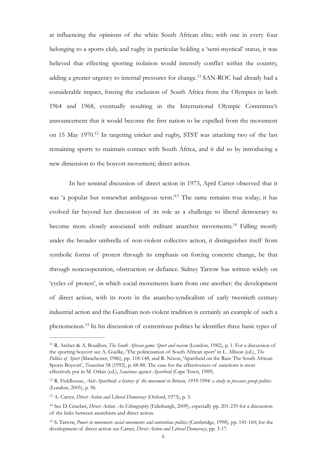<span id="page-5-5"></span>at influencing the opinions of the white South African elite; with one in every four belonging to a sports club, and rugby in particular holding a 'semi-mystical' status, it was believed that effecting sporting isolation would intensify conflict within the country, adding a greater urgency to internal pressures for change.<sup>[11](#page-5-0)</sup> SAN-ROC had already had a considerable impact, forcing the exclusion of South Africa from the Olympics in both 1964 and 1968, eventually resulting in the International Olympic Committee's announcement that it would become the first nation to be expelled from the movement on 15 May 1970.<sup>[12](#page-5-1)</sup> In targeting cricket and rugby, STST was attacking two of the last remaining sports to maintain contact with South Africa, and it did so by introducing a new dimension to the boycott movement; direct action.

<span id="page-5-8"></span><span id="page-5-7"></span><span id="page-5-6"></span> In her seminal discussion of direct action in 1973, April Carter observed that it was 'a popular but somewhat ambiguous term.<sup>[13](#page-5-2)</sup> The same remains true today; it has evolved far beyond her discussion of its role as a challenge to liberal democracy to become more closely associated with militant anarchist movements.<sup>[14](#page-5-3)</sup> Falling mostly under the broader umbrella of non-violent collective action, it distinguishes itself from symbolic forms of protest through its emphasis on forcing concrete change, be that through noncooperation, obstruction or defiance. Sidney Tarrow has written widely on 'cycles of protest', in which social movements learn from one another: the development of direct action, with its roots in the anarcho-syndicalism of early twentieth century industrial action and the Gandhian non-violent tradition is certainly an example of such a phenomenon.<sup>[15](#page-5-4)</sup> In his discussion of contentious politics he identifies three basic types of

<span id="page-5-9"></span><span id="page-5-0"></span><sup>&</sup>lt;sup>[11](#page-5-5)</sup> R. Archer & A. Bouillon, *The South African game: Sport and racism* (London, 1982), p. 1. For a discussion of the sporting boycott see A. Guelke, 'The politicisation of South African sport' in L. Allison (ed.), *The Politics of Sport* (Manchester, 1986), pp. 118-148, and R. Nixon, 'Apartheid on the Run: The South African Sports Boycott', *Transition* 58 (1992), p. 68-88. The case for the effectiveness of sanctions is most effectively put in M. Orkin (ed.), *Sanctions against Apartheid* (Cape Town, 1989).

<span id="page-5-1"></span>R. Fieldhouse, *Anti-Apartheid: a history of the movement in Britain, 1959-1994: a study in pressure group politics* [12](#page-5-6) (London, 2005), p. 96.

<span id="page-5-2"></span><sup>&</sup>lt;sup>[13](#page-5-7)</sup> A. Carter, *Direct Action and Liberal Democracy* (Oxford, 1973), p. 3.

<span id="page-5-3"></span><sup>&</sup>lt;sup>[14](#page-5-8)</sup> See D. Graeber, *Direct Action: An Ethnography* (Edinburgh, 2009), especially pp. 201-239 for a discussion of the links between anarchism and direct action.

<span id="page-5-4"></span><sup>&</sup>lt;sup>[15](#page-5-9)</sup> S. Tarrow, *Power in movement: social movements and contentious politics* (Cambridge, 1998), pp. 141-160; for the development of direct action see Carter, *Direct Action and Liberal Democracy*, pp. 3-17.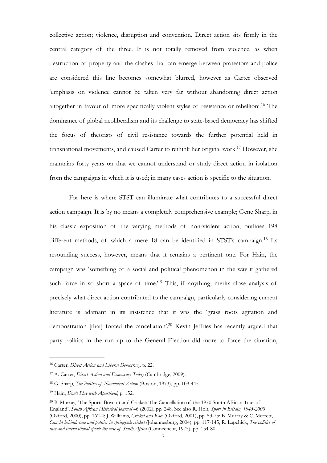<span id="page-6-5"></span>collective action; violence, disruption and convention. Direct action sits firmly in the central category of the three. It is not totally removed from violence, as when destruction of property and the clashes that can emerge between protestors and police are considered this line becomes somewhat blurred, however as Carter observed 'emphasis on violence cannot be taken very far without abandoning direct action altogether in favour of more specifically violent styles of resistance or rebellion'.<sup>[16](#page-6-0)</sup> The dominance of global neoliberalism and its challenge to state-based democracy has shifted the focus of theorists of civil resistance towards the further potential held in transnational movements, and caused Carter to rethink her original work.<sup>[17](#page-6-1)</sup> However, she maintains forty years on that we cannot understand or study direct action in isolation from the campaigns in which it is used; in many cases action is specific to the situation.

<span id="page-6-7"></span><span id="page-6-6"></span> For here is where STST can illuminate what contributes to a successful direct action campaign. It is by no means a completely comprehensive example; Gene Sharp, in his classic exposition of the varying methods of non-violent action, outlines 198 different methods, of which a mere [18](#page-6-2) can be identified in STST's campaign.<sup>18</sup> Its resounding success, however, means that it remains a pertinent one. For Hain, the campaign was 'something of a social and political phenomenon in the way it gathered such force in so short a space of time.<sup> $19$ </sup> This, if anything, merits close analysis of precisely what direct action contributed to the campaign, particularly considering current literature is adamant in its insistence that it was the 'grass roots agitation and demonstration [that] forced the cancellation'.<sup>[20](#page-6-4)</sup> Kevin Jeffries has recently argued that party politics in the run up to the General Election did more to force the situation,

<span id="page-6-9"></span><span id="page-6-8"></span><span id="page-6-0"></span><sup>&</sup>lt;sup>[16](#page-6-5)</sup> Carter, *Direct Action and Liberal Democracy*, p. 22.

<span id="page-6-1"></span><sup>&</sup>lt;sup>[17](#page-6-6)</sup> A. Carter, *Direct Action and Democracy Today* (Cambridge, 2009).

<span id="page-6-2"></span><sup>&</sup>lt;sup>[18](#page-6-7)</sup> G. Sharp, *The Politics of Nonviolent Action* (Boston, 1973), pp. 109-445.

<span id="page-6-3"></span><sup>&</sup>lt;sup>[19](#page-6-8)</sup> Hain, *Don't Play with Apartheid*, p. 152.

<span id="page-6-4"></span><sup>&</sup>lt;sup>[20](#page-6-9)</sup> B. Murray, 'The Sports Boycott and Cricket: The Cancellation of the 1970 South African Tour of England', *South African Historical Journal* 46 (2002), pp. 248. See also R. Holt, *Sport in Britain, 1945-2000*  (Oxford, 2000), pp. 162-4; J. Williams, *Cricket and Race* (Oxford, 2001), pp. 53-75; B. Murray & C. Merrett, *Caught behind: race and politics in springbok cricket* (Johannesburg, 2004), pp. 117-145; R. Lapchick, *The politics of race and international sport: the case of South Africa* (Connecticut, 1975), pp. 154-80.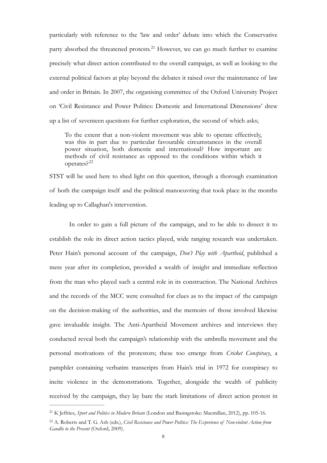<span id="page-7-2"></span>particularly with reference to the 'law and order' debate into which the Conservative party absorbed the threatened protests.<sup>[21](#page-7-0)</sup> However, we can go much further to examine precisely what direct action contributed to the overall campaign, as well as looking to the external political factors at play beyond the debates it raised over the maintenance of law and order in Britain. In 2007, the organising committee of the Oxford University Project on 'Civil Resistance and Power Politics: Domestic and International Dimensions' drew up a list of seventeen questions for further exploration, the second of which asks;

To the extent that a non-violent movement was able to operate effectively, was this in part due to particular favourable circumstances in the overall power situation, both domestic and international? How important are methods of civil resistance as opposed to the conditions within which it operates?[22](#page-7-1)

<span id="page-7-3"></span>STST will be used here to shed light on this question, through a thorough examination of both the campaign itself and the political manoeuvring that took place in the months leading up to Callaghan's intervention.

 In order to gain a full picture of the campaign, and to be able to dissect it to establish the role its direct action tactics played, wide ranging research was undertaken. Peter Hain's personal account of the campaign, *Don't Play with Apartheid*, published a mere year after its completion, provided a wealth of insight and immediate reflection from the man who played such a central role in its construction. The National Archives and the records of the MCC were consulted for clues as to the impact of the campaign on the decision-making of the authorities, and the memoirs of those involved likewise gave invaluable insight. The Anti-Apartheid Movement archives and interviews they conducted reveal both the campaign's relationship with the umbrella movement and the personal motivations of the protestors; these too emerge from *Cricket Conspiracy*, a pamphlet containing verbatim transcripts from Hain's trial in 1972 for conspiracy to incite violence in the demonstrations. Together, alongside the wealth of publicity received by the campaign, they lay bare the stark limitations of direct action protest in

<span id="page-7-0"></span><sup>&</sup>lt;sup>[21](#page-7-2)</sup> K Jeffries, *Sport and Politics in Modern Britain* (London and Basingstoke: Macmillan, 2012), pp. 105-16.

<span id="page-7-1"></span><sup>&</sup>lt;sup>[22](#page-7-3)</sup> A. Roberts and T. G. Ash (eds.), *Civil Resistance and Power Politics: The Experience of Non-violent Action from Gandhi to the Present* (Oxford, 2009).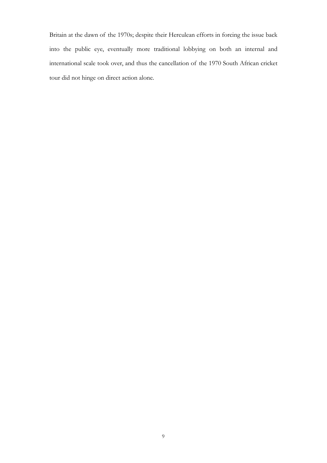Britain at the dawn of the 1970s; despite their Herculean efforts in forcing the issue back into the public eye, eventually more traditional lobbying on both an internal and international scale took over, and thus the cancellation of the 1970 South African cricket tour did not hinge on direct action alone.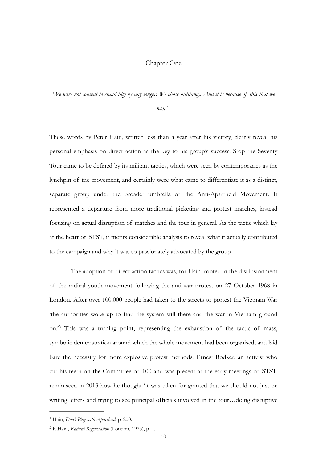#### Chapter One

*'We were not content to stand idly by any longer. We chose militancy. And it is because of this that we* 

<span id="page-9-2"></span>*won.*' [1](#page-9-0)

These words by Peter Hain, written less than a year after his victory, clearly reveal his personal emphasis on direct action as the key to his group's success. Stop the Seventy Tour came to be defined by its militant tactics, which were seen by contemporaries as the lynchpin of the movement, and certainly were what came to differentiate it as a distinct, separate group under the broader umbrella of the Anti-Apartheid Movement. It represented a departure from more traditional picketing and protest marches, instead focusing on actual disruption of matches and the tour in general. As the tactic which lay at the heart of STST, it merits considerable analysis to reveal what it actually contributed to the campaign and why it was so passionately advocated by the group.

<span id="page-9-3"></span> The adoption of direct action tactics was, for Hain, rooted in the disillusionment of the radical youth movement following the anti-war protest on 27 October 1968 in London. After over 100,000 people had taken to the streets to protest the Vietnam War 'the authorities woke up to find the system still there and the war in Vietnam ground on.<sup>22</sup>This was a turning point, representing the exhaustion of the tactic of mass, symbolic demonstration around which the whole movement had been organised, and laid bare the necessity for more explosive protest methods. Ernest Rodker, an activist who cut his teeth on the Committee of 100 and was present at the early meetings of STST, reminisced in 2013 how he thought 'it was taken for granted that we should not just be writing letters and trying to see principal officials involved in the tour…doing disruptive

<span id="page-9-0"></span><sup>&</sup>lt;sup>[1](#page-9-2)</sup> Hain, *Don't Play with Apartheid*, p. 200.

<span id="page-9-1"></span><sup>&</sup>lt;sup>[2](#page-9-3)</sup> P. Hain, *Radical Regeneration* (London, 1975), p. 4.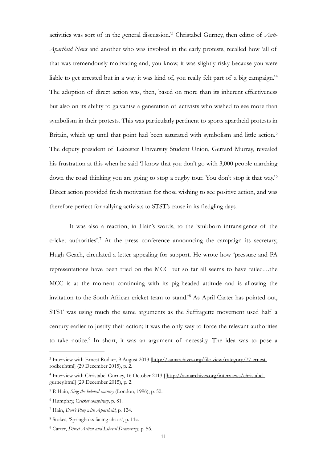<span id="page-10-8"></span><span id="page-10-7"></span>activities was sort of in the general discussion.<sup>3</sup> Christabel Gurney, then editor of *Anti*-*Apartheid News* and another who was involved in the early protests, recalled how 'all of that was tremendously motivating and, you know, it was slightly risky because you were liable to get arrested but in a way it was kind of, you really felt part of a big campaign.'[4](#page-10-1) The adoption of direct action was, then, based on more than its inherent effectiveness but also on its ability to galvanise a generation of activists who wished to see more than symbolism in their protests. This was particularly pertinent to sports apartheid protests in Britain, which up until that point had been saturated with symbolism and little action.<sup>[5](#page-10-2)</sup> The deputy president of Leicester University Student Union, Gerrard Murray, revealed his frustration at this when he said 'I know that you don't go with 3,000 people marching down the road thinking you are going to stop a rugby tour. You don't stop it that way.'[6](#page-10-3) Direct action provided fresh motivation for those wishing to see positive action, and was therefore perfect for rallying activists to STST's cause in its fledgling days.

<span id="page-10-11"></span><span id="page-10-10"></span><span id="page-10-9"></span> It was also a reaction, in Hain's words, to the 'stubborn intransigence of the cricket authorities'.<sup>[7](#page-10-4)</sup> At the press conference announcing the campaign its secretary, Hugh Geach, circulated a letter appealing for support. He wrote how 'pressure and PA representations have been tried on the MCC but so far all seems to have failed…the MCC is at the moment continuing with its pig-headed attitude and is allowing the invitation to the South African cricket team to stand.<sup>[8](#page-10-5)</sup> As April Carter has pointed out, STST was using much the same arguments as the Suffragette movement used half a century earlier to justify their action; it was the only way to force the relevant authorities totake notice.<sup>[9](#page-10-6)</sup> In short, it was an argument of necessity. The idea was to pose a

<span id="page-10-13"></span><span id="page-10-12"></span><span id="page-10-0"></span><sup>&</sup>lt;sup>3</sup> [Interview with Ernest Rodker, 9 August 2013 \[http://aamarchives.org/file-view/category/77-ernest](http://aamarchives.org/file-view/category/77-ernest-rodker.html) rodker.html] (29 December 2015), p. 2.

<span id="page-10-1"></span>[Interview with Christabel Gurney, 16 October 2013 \[\[http://aamarchives.org/interviews/christabel-](http://aamarchives.org/interviews/christabel-gurney.html) [4](#page-10-8) gurney.html] (29 December 2015), p. 2.

<span id="page-10-2"></span><sup>&</sup>lt;sup>[5](#page-10-9)</sup> P. Hain, *Sing the beloved country* (London, 1996), p. 50.

<span id="page-10-3"></span>Humphry, C*ricket conspiracy*, p. 81. [6](#page-10-10)

<span id="page-10-4"></span>Hain, *Don't Play with Apartheid*, p. 124. [7](#page-10-11)

<span id="page-10-5"></span><sup>&</sup>lt;sup>[8](#page-10-12)</sup> Stokes, 'Springboks facing chaos', p. 11c.

<span id="page-10-6"></span><sup>&</sup>lt;sup>[9](#page-10-13)</sup> Carter, *Direct Action and Liberal Democracy*, p. 56.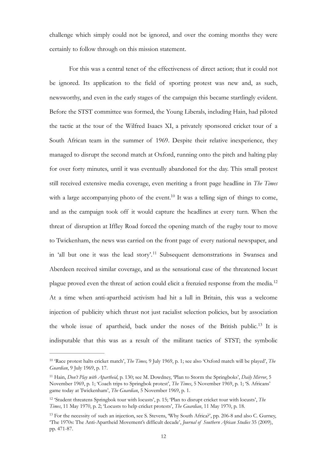challenge which simply could not be ignored, and over the coming months they were certainly to follow through on this mission statement.

<span id="page-11-4"></span> For this was a central tenet of the effectiveness of direct action; that it could not be ignored. Its application to the field of sporting protest was new and, as such, newsworthy, and even in the early stages of the campaign this became startlingly evident. Before the STST committee was formed, the Young Liberals, including Hain, had piloted the tactic at the tour of the Wilfred Isaacs XI, a privately sponsored cricket tour of a South African team in the summer of 1969. Despite their relative inexperience, they managed to disrupt the second match at Oxford, running onto the pitch and halting play for over forty minutes, until it was eventually abandoned for the day. This small protest still received extensive media coverage, even meriting a front page headline in *The Times*  with a large accompanying photo of the event.<sup>[10](#page-11-0)</sup> It was a telling sign of things to come, and as the campaign took off it would capture the headlines at every turn. When the threat of disruption at Iffley Road forced the opening match of the rugby tour to move to Twickenham, the news was carried on the front page of every national newspaper, and in 'all but one it was the lead story'.<sup>[11](#page-11-1)</sup> Subsequent demonstrations in Swansea and Aberdeen received similar coverage, and as the sensational case of the threatened locust plague proved even the threat of action could elicit a frenzied response from the media.[12](#page-11-2) At a time when anti-apartheid activism had hit a lull in Britain, this was a welcome injection of publicity which thrust not just racialist selection policies, but by association the whole issue of apartheid, back under the noses of the British public.<sup>[13](#page-11-3)</sup> It is indisputable that this was as a result of the militant tactics of STST; the symbolic

<span id="page-11-7"></span><span id="page-11-6"></span><span id="page-11-5"></span><span id="page-11-0"></span><sup>&</sup>lt;sup>[10](#page-11-4)</sup> 'Race protest halts cricket match', *The Times*, 9 July 1969, p. 1; see also 'Oxford match will be played', *The Guardian*, 9 July 1969, p. 17.

<span id="page-11-1"></span><sup>&</sup>lt;sup>[11](#page-11-5)</sup> Hain, *Don't Play with Apartheid*, p. 130; see M. Dowdney, 'Plan to Storm the Springboks', *Daily Mirror*, 5 November 1969, p. 1; 'Coach trips to Springbok protest', *The Times*, 5 November 1969, p. 1; 'S. Africans' game today at Twickenham', *The Guardian*, 5 November 1969, p. 1.

<span id="page-11-2"></span><sup>&</sup>lt;sup>[12](#page-11-6)</sup> 'Student threatens Springbok tour with locusts', p. 15; 'Plan to disrupt cricket tour with locusts', *The Times*, 11 May 1970, p. 2; 'Locusts to help cricket protests', *The Guardian*, 11 May 1970, p. 18.

<span id="page-11-3"></span><sup>&</sup>lt;sup>[13](#page-11-7)</sup> For the necessity of such an injection, see S. Stevens, 'Why South Africa?', pp. 206-8 and also C. Gurney, 'The 1970s: The Anti-Apartheid Movement's difficult decade', *Journal of Southern African Studies* 35 (2009), pp. 471-87.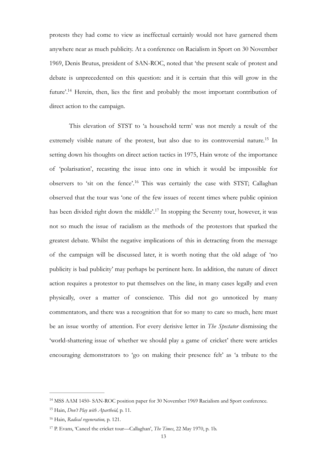protests they had come to view as ineffectual certainly would not have garnered them anywhere near as much publicity. At a conference on Racialism in Sport on 30 November 1969, Denis Brutus, president of SAN-ROC, noted that 'the present scale of protest and debate is unprecedented on this question: and it is certain that this will grow in the future'.<sup>[14](#page-12-0)</sup> Herein, then, lies the first and probably the most important contribution of direct action to the campaign.

<span id="page-12-7"></span><span id="page-12-6"></span><span id="page-12-5"></span><span id="page-12-4"></span> This elevation of STST to 'a household term' was not merely a result of the extremely visible nature of the protest, but also due to its controversial nature.<sup>[15](#page-12-1)</sup> In setting down his thoughts on direct action tactics in 1975, Hain wrote of the importance of 'polarisation', recasting the issue into one in which it would be impossible for observers to 'sit on the fence'.<sup>[16](#page-12-2)</sup> This was certainly the case with STST; Callaghan observed that the tour was 'one of the few issues of recent times where public opinion has been divided right down the middle'.<sup>[17](#page-12-3)</sup> In stopping the Seventy tour, however, it was not so much the issue of racialism as the methods of the protestors that sparked the greatest debate. Whilst the negative implications of this in detracting from the message of the campaign will be discussed later, it is worth noting that the old adage of 'no publicity is bad publicity' may perhaps be pertinent here. In addition, the nature of direct action requires a protestor to put themselves on the line, in many cases legally and even physically, over a matter of conscience. This did not go unnoticed by many commentators, and there was a recognition that for so many to care so much, here must be an issue worthy of attention. For every derisive letter in *The Spectator* dismissing the 'world-shattering issue of whether we should play a game of cricket' there were articles encouraging demonstrators to 'go on making their presence felt' as 'a tribute to the

<span id="page-12-0"></span><sup>&</sup>lt;sup>[14](#page-12-4)</sup> MSS AAM 1450- SAN-ROC position paper for 30 November 1969 Racialism and Sport conference.

<span id="page-12-1"></span><sup>&</sup>lt;sup>[15](#page-12-5)</sup> Hain, *Don't Play with Apartheid*, p. 11.

<span id="page-12-2"></span><sup>&</sup>lt;sup>[16](#page-12-6)</sup> Hain, *Radical regeneration*, p. 121.

<span id="page-12-3"></span><sup>&</sup>lt;sup>[17](#page-12-7)</sup> P. Evans, 'Cancel the cricket tour—Callaghan', *The Times*, 22 May 1970, p. 1b.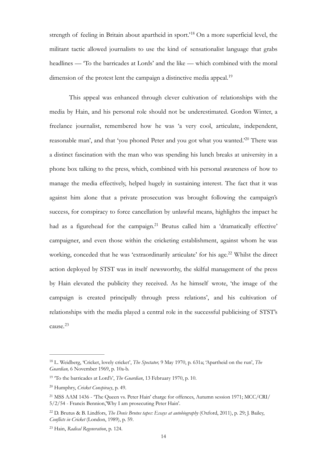<span id="page-13-6"></span>strength of feeling in Britain about apartheid in sport.<sup>[18](#page-13-0)</sup> On a more superficial level, the militant tactic allowed journalists to use the kind of sensationalist language that grabs headlines — 'To the barricades at Lords' and the like — which combined with the moral dimension of the protest lent the campaign a distinctive media appeal.<sup>[19](#page-13-1)</sup>

<span id="page-13-8"></span><span id="page-13-7"></span> This appeal was enhanced through clever cultivation of relationships with the media by Hain, and his personal role should not be underestimated. Gordon Winter, a freelance journalist, remembered how he was 'a very cool, articulate, independent, reasonable man', and that 'you phoned Peter and you got what you wanted.'<sup>[20](#page-13-2)</sup> There was a distinct fascination with the man who was spending his lunch breaks at university in a phone box talking to the press, which, combined with his personal awareness of how to manage the media effectively, helped hugely in sustaining interest. The fact that it was against him alone that a private prosecution was brought following the campaign's success, for conspiracy to force cancellation by unlawful means, highlights the impact he had as a figurehead for the campaign.<sup>[21](#page-13-3)</sup> Brutus called him a 'dramatically effective' campaigner, and even those within the cricketing establishment, against whom he was working, conceded that he was 'extraordinarily articulate' for his age.<sup>[22](#page-13-4)</sup> Whilst the direct action deployed by STST was in itself newsworthy, the skilful management of the press by Hain elevated the publicity they received. As he himself wrote, 'the image of the campaign is created principally through press relations', and his cultivation of relationships with the media played a central role in the successful publicising of STST's cause.[23](#page-13-5)

<span id="page-13-11"></span><span id="page-13-10"></span><span id="page-13-9"></span><span id="page-13-0"></span>L. Weidberg, 'Cricket, lovely cricket', *The Spectator,* 9 May 1970, p. 631a; 'Apartheid on the run', *The* [18](#page-13-6) *Guardian,* 6 November 1969, p. 10a-b.

<span id="page-13-1"></span><sup>&</sup>lt;sup>[19](#page-13-7)</sup> To the barricades at Lord's', *The Guardian*, 13 February 1970, p. 10.

<span id="page-13-2"></span><sup>&</sup>lt;sup>[20](#page-13-8)</sup> Humphry, *Cricket Conspiracy*, p. 49.

<span id="page-13-3"></span><sup>&</sup>lt;sup>[21](#page-13-9)</sup> MSS AAM 1436 - 'The Queen vs. Peter Hain' charge for offences, Autumn session 1971; MCC/CRI/ 5/2/54 - Francis Bennion,'Why I am prosecuting Peter Hain'.

<span id="page-13-4"></span><sup>&</sup>lt;sup>[22](#page-13-10)</sup> D. Brutus & B. Lindfors, *The Denis Brutus tapes: Essays at autobiography* (Oxford, 2011), p. 29; J. Bailey, *Conflicts in Cricket* (London, 1989), p. 59.

<span id="page-13-5"></span><sup>&</sup>lt;sup>[23](#page-13-11)</sup> Hain, *Radical Regeneration*, p. 124.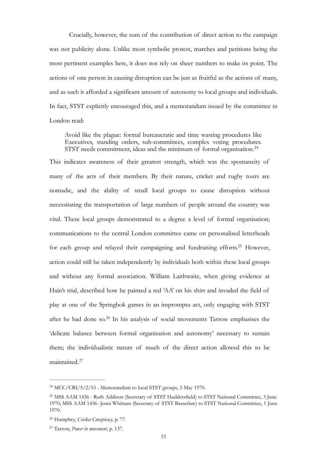Crucially, however, the sum of the contribution of direct action to the campaign was not publicity alone. Unlike most symbolic protest, marches and petitions being the most pertinent examples here, it does not rely on sheer numbers to make its point. The actions of one person in causing disruption can be just as fruitful as the actions of many, and as such it afforded a significant amount of autonomy to local groups and individuals. In fact, STST explicitly encouraged this, and a memorandum issued by the committee in London read:

<span id="page-14-5"></span><span id="page-14-4"></span>Avoid like the plague: formal bureaucratic and time wasting procedures like Executives, standing orders, sub-committees, complex voting procedures. STST needs commitment, ideas and the minimum of formal organisation.<sup>[24](#page-14-0)</sup>

This indicates awareness of their greatest strength, which was the spontaneity of many of the acts of their members. By their nature, cricket and rugby tours are nomadic, and the ability of small local groups to cause disruption without necessitating the transportation of large numbers of people around the country was vital. These local groups demonstrated to a degree a level of formal organisation; communications to the central London committee came on personalised letterheads foreach group and relayed their campaigning and fundraising efforts.<sup>[25](#page-14-1)</sup> However, action could still be taken independently by individuals both within these local groups and without any formal association. William Laithwaite, when giving evidence at Hain's trial, described how he painted a red 'AA' on his shirt and invaded the field of play at one of the Springbok games in an impromptu act, only engaging with STST after he had done so. $26$  In his analysis of social movements Tarrow emphasises the 'delicate balance between formal organisation and autonomy' necessary to sustain them; the individualistic nature of much of the direct action allowed this to be maintained.[27](#page-14-3)

<span id="page-14-7"></span><span id="page-14-6"></span><span id="page-14-0"></span> $^{24}$  $^{24}$  $^{24}$  MCC/CRI/5/2/53 - Memorandum to local STST groups, 5 May 1970.

<span id="page-14-1"></span><sup>&</sup>lt;sup>[25](#page-14-5)</sup> MSS AAM 1436 - Ruth Addison (Secretary of STST Huddersfield) to STST National Committee, 3 June 1970; MSS AAM 1436- Jenni Whittam (Secretary of STST Bassetlaw) to STST National Committee, 1 June 1970.

<span id="page-14-2"></span>Humphry, *Cricket Conspiracy,* p. 77. [26](#page-14-6)

<span id="page-14-3"></span><sup>&</sup>lt;sup>[27](#page-14-7)</sup> Tarrow, *Power in movement*, p. 137.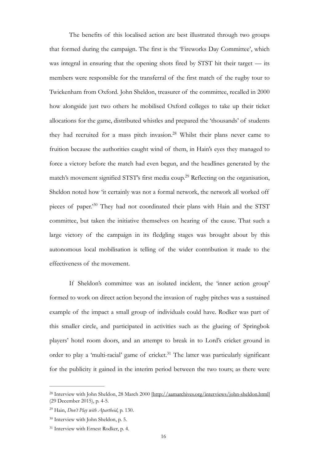<span id="page-15-4"></span> The benefits of this localised action are best illustrated through two groups that formed during the campaign. The first is the 'Fireworks Day Committee', which was integral in ensuring that the opening shots fired by STST hit their target — its members were responsible for the transferral of the first match of the rugby tour to Twickenham from Oxford. John Sheldon, treasurer of the committee, recalled in 2000 how alongside just two others he mobilised Oxford colleges to take up their ticket allocations for the game, distributed whistles and prepared the 'thousands' of students they had recruited for a mass pitch invasion.<sup>[28](#page-15-0)</sup> Whilst their plans never came to fruition because the authorities caught wind of them, in Hain's eyes they managed to force a victory before the match had even begun, and the headlines generated by the match's movement signified STST's first media coup.<sup>[29](#page-15-1)</sup> Reflecting on the organisation, Sheldon noted how 'it certainly was not a formal network, the network all worked off pieces of paper.<sup>[30](#page-15-2)</sup> They had not coordinated their plans with Hain and the STST committee, but taken the initiative themselves on hearing of the cause. That such a large victory of the campaign in its fledgling stages was brought about by this autonomous local mobilisation is telling of the wider contribution it made to the effectiveness of the movement.

<span id="page-15-6"></span><span id="page-15-5"></span> If Sheldon's committee was an isolated incident, the 'inner action group' formed to work on direct action beyond the invasion of rugby pitches was a sustained example of the impact a small group of individuals could have. Rodker was part of this smaller circle, and participated in activities such as the glueing of Springbok players' hotel room doors, and an attempt to break in to Lord's cricket ground in order to play a 'multi-racial' game of cricket.<sup>[31](#page-15-3)</sup> The latter was particularly significant for the publicity it gained in the interim period between the two tours; as there were

<span id="page-15-7"></span><span id="page-15-0"></span><sup>&</sup>lt;sup>28</sup> Interview with John Sheldon, 28 March 2000 [\[http://aamarchives.org/interviews/john-sheldon.html](http://aamarchives.org/interviews/john-sheldon.html)] (29 December 2015), p. 4-5.

<span id="page-15-1"></span>Hain, *Don't Play with Apartheid*, p. 130. [29](#page-15-5)

<span id="page-15-2"></span> $30$  Interview with John Sheldon, p. 5.

<span id="page-15-3"></span><sup>&</sup>lt;sup>[31](#page-15-7)</sup> Interview with Ernest Rodker, p. 4.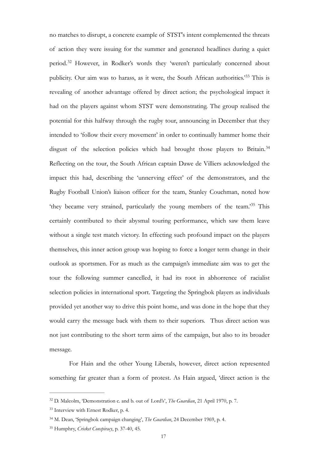<span id="page-16-6"></span><span id="page-16-5"></span><span id="page-16-4"></span>no matches to disrupt, a concrete example of STST's intent complemented the threats of action they were issuing for the summer and generated headlines during a quiet period.<sup>[32](#page-16-0)</sup> However, in Rodker's words they 'weren't particularly concerned about publicity. Our aim was to harass, as it were, the South African authorities.<sup>[33](#page-16-1)</sup> This is revealing of another advantage offered by direct action; the psychological impact it had on the players against whom STST were demonstrating. The group realised the potential for this halfway through the rugby tour, announcing in December that they intended to 'follow their every movement' in order to continually hammer home their disgust of the selection policies which had brought those players to Britain.<sup>[34](#page-16-2)</sup> Reflecting on the tour, the South African captain Dawe de Villiers acknowledged the impact this had, describing the 'unnerving effect' of the demonstrators, and the Rugby Football Union's liaison officer for the team, Stanley Couchman, noted how 'they became very strained, particularly the young members of the team.<sup>[35](#page-16-3)</sup> This certainly contributed to their abysmal touring performance, which saw them leave without a single test match victory. In effecting such profound impact on the players themselves, this inner action group was hoping to force a longer term change in their outlook as sportsmen. For as much as the campaign's immediate aim was to get the tour the following summer cancelled, it had its root in abhorrence of racialist selection policies in international sport. Targeting the Springbok players as individuals provided yet another way to drive this point home, and was done in the hope that they would carry the message back with them to their superiors. Thus direct action was not just contributing to the short term aims of the campaign, but also to its broader message.

<span id="page-16-7"></span> For Hain and the other Young Liberals, however, direct action represented something far greater than a form of protest. As Hain argued, 'direct action is the

<span id="page-16-0"></span><sup>&</sup>lt;sup>[32](#page-16-4)</sup> D. Malcolm, 'Demonstration c. and b. out of Lord's', *The Guardian*, 21 April 1970, p. 7.

<span id="page-16-1"></span><sup>&</sup>lt;sup>[33](#page-16-5)</sup> Interview with Ernest Rodker, p. 4.

<span id="page-16-2"></span><sup>&</sup>lt;sup>[34](#page-16-6)</sup> M. Dean, 'Springbok campaign changing', *The Guardian*, 24 December 1969, p. 4.

<span id="page-16-3"></span><sup>&</sup>lt;sup>[35](#page-16-7)</sup> Humphry, *Cricket Conspiracy*, p. 37-40, 45.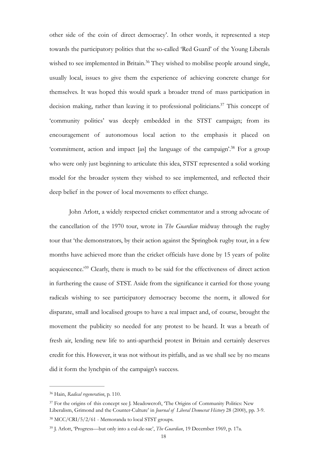<span id="page-17-5"></span><span id="page-17-4"></span>other side of the coin of direct democracy'. In other words, it represented a step towards the participatory politics that the so-called 'Red Guard' of the Young Liberals wished to see implemented in Britain.<sup>[36](#page-17-0)</sup> They wished to mobilise people around single, usually local, issues to give them the experience of achieving concrete change for themselves. It was hoped this would spark a broader trend of mass participation in decision making, rather than leaving it to professional politicians.<sup> $37$ </sup> This concept of 'community politics' was deeply embedded in the STST campaign; from its encouragement of autonomous local action to the emphasis it placed on 'commitment, action and impact [as] the language of the campaign'.<sup>[38](#page-17-2)</sup> For a group who were only just beginning to articulate this idea, STST represented a solid working model for the broader system they wished to see implemented, and reflected their deep belief in the power of local movements to effect change.

<span id="page-17-7"></span><span id="page-17-6"></span> John Arlott, a widely respected cricket commentator and a strong advocate of the cancellation of the 1970 tour, wrote in *The Guardian* midway through the rugby tour that 'the demonstrators, by their action against the Springbok rugby tour, in a few months have achieved more than the cricket officials have done by 15 years of polite acquiescence.<sup> $239$  $239$ </sup> Clearly, there is much to be said for the effectiveness of direct action in furthering the cause of STST. Aside from the significance it carried for those young radicals wishing to see participatory democracy become the norm, it allowed for disparate, small and localised groups to have a real impact and, of course, brought the movement the publicity so needed for any protest to be heard. It was a breath of fresh air, lending new life to anti-apartheid protest in Britain and certainly deserves credit for this. However, it was not without its pitfalls, and as we shall see by no means did it form the lynchpin of the campaign's success.

<span id="page-17-0"></span>Hain, *Radical regeneration*, p. 110. [36](#page-17-4)

<span id="page-17-1"></span><sup>&</sup>lt;sup>[37](#page-17-5)</sup> For the origins of this concept see J. Meadowcroft, 'The Origins of Community Politics: New Liberalism, Grimond and the Counter-Culture' in *Journal of Liberal Democrat History* 28 (2000), pp. 3-9.

<span id="page-17-2"></span>MCC/CRI/5/2/61 - Memoranda to local STST groups. [38](#page-17-6)

<span id="page-17-3"></span><sup>&</sup>lt;sup>[39](#page-17-7)</sup> I. Arlott, 'Progress—but only into a cul-de-sac', *The Guardian*, 19 December 1969, p. 17a.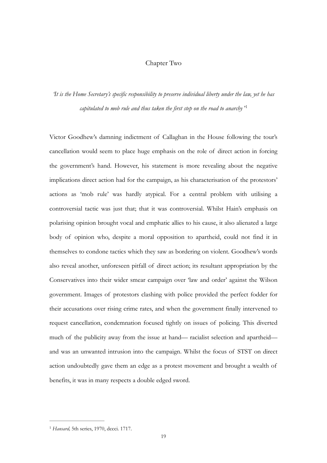## <span id="page-18-1"></span>Chapter Two

# *'It is the Home Secretary's specific responsibility to preserve individual liberty under the law, yet he has capitulated to mob rule and thus taken the first step on the road to anarchy* ' [1](#page-18-0)

Victor Goodhew's damning indictment of Callaghan in the House following the tour's cancellation would seem to place huge emphasis on the role of direct action in forcing the government's hand. However, his statement is more revealing about the negative implications direct action had for the campaign, as his characterisation of the protestors' actions as 'mob rule' was hardly atypical. For a central problem with utilising a controversial tactic was just that; that it was controversial. Whilst Hain's emphasis on polarising opinion brought vocal and emphatic allies to his cause, it also alienated a large body of opinion who, despite a moral opposition to apartheid, could not find it in themselves to condone tactics which they saw as bordering on violent. Goodhew's words also reveal another, unforeseen pitfall of direct action; its resultant appropriation by the Conservatives into their wider smear campaign over 'law and order' against the Wilson government. Images of protestors clashing with police provided the perfect fodder for their accusations over rising crime rates, and when the government finally intervened to request cancellation, condemnation focused tightly on issues of policing. This diverted much of the publicity away from the issue at hand— racialist selection and apartheid and was an unwanted intrusion into the campaign. Whilst the focus of STST on direct action undoubtedly gave them an edge as a protest movement and brought a wealth of benefits, it was in many respects a double edged sword.

<span id="page-18-0"></span><sup>&</sup>lt;sup>[1](#page-18-1)</sup> Hansard, 5th series, 1970, dccci. 1717.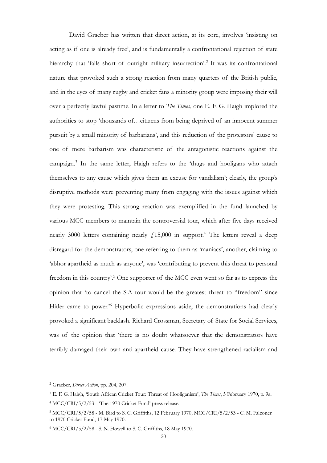<span id="page-19-6"></span><span id="page-19-5"></span> David Graeber has written that direct action, at its core, involves 'insisting on acting as if one is already free', and is fundamentally a confrontational rejection of state hierarchythat 'falls short of outright military insurrection'.<sup>[2](#page-19-0)</sup> It was its confrontational nature that provoked such a strong reaction from many quarters of the British public, and in the eyes of many rugby and cricket fans a minority group were imposing their will over a perfectly lawful pastime. In a letter to *The Times*, one E. F. G. Haigh implored the authorities to stop 'thousands of…citizens from being deprived of an innocent summer pursuit by a small minority of barbarians', and this reduction of the protestors' cause to one of mere barbarism was characteristic of the antagonistic reactions against the campaign.<sup>3</sup>In the same letter, Haigh refers to the 'thugs and hooligans who attach themselves to any cause which gives them an excuse for vandalism'; clearly, the group's disruptive methods were preventing many from engaging with the issues against which they were protesting. This strong reaction was exemplified in the fund launched by various MCC members to maintain the controversial tour, which after five days received nearly 3000 letters containing nearly  $\mu$ 15,000 in support[.](#page-19-2)<sup>[4](#page-19-2)</sup> The letters reveal a deep disregard for the demonstrators, one referring to them as 'maniacs', another, claiming to 'abhor apartheid as much as anyone', was 'contributing to prevent this threat to personal freedom in this country'.<sup>[5](#page-19-3)</sup> One supporter of the MCC even went so far as to express the opinion that 'to cancel the S.A tour would be the greatest threat to "freedom" since Hitlercame to power.<sup>2[6](#page-19-4)</sup> Hyperbolic expressions aside, the demonstrations had clearly provoked a significant backlash. Richard Crossman, Secretary of State for Social Services, was of the opinion that 'there is no doubt whatsoever that the demonstrators have terribly damaged their own anti-apartheid cause. They have strengthened racialism and

<span id="page-19-9"></span><span id="page-19-8"></span><span id="page-19-7"></span><span id="page-19-0"></span><sup>&</sup>lt;sup>[2](#page-19-5)</sup> Graeber, *Direct Action*, pp. 204, 207.

<span id="page-19-1"></span><sup>&</sup>lt;sup>[3](#page-19-6)</sup> E. F. G. Haigh, 'South African Cricket Tour: Threat of Hooliganism', *The Times*, 5 February 1970, p. 9a.

<span id="page-19-2"></span><sup>&</sup>lt;sup>[4](#page-19-7)</sup> MCC/CRI/5/2/53 - 'The 1970 Cricket Fund' press release.

<span id="page-19-3"></span><sup>&</sup>lt;sup>[5](#page-19-8)</sup> MCC/CRI/5/2/58 - M. Bird to S. C. Griffiths, 12 February 1970; MCC/CRI/5/2/53 - C. M. Falconer to 1970 Cricket Fund, 17 May 1970.

<span id="page-19-4"></span> $6 \text{ MCC/CRI}/5/2/58$  $6 \text{ MCC/CRI}/5/2/58$  - S. N. Howell to S. C. Griffiths, 18 May 1970.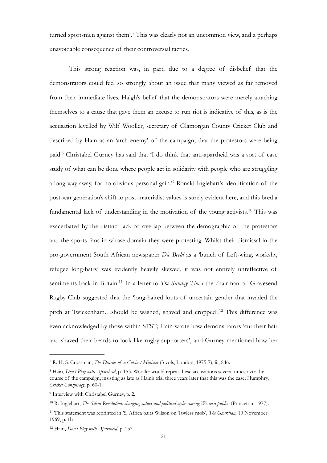<span id="page-20-6"></span>turned sportsmen against them'.<sup>[7](#page-20-0)</sup> This was clearly not an uncommon view, and a perhaps unavoidable consequence of their controversial tactics.

<span id="page-20-8"></span><span id="page-20-7"></span> This strong reaction was, in part, due to a degree of disbelief that the demonstrators could feel so strongly about an issue that many viewed as far removed from their immediate lives. Haigh's belief that the demonstrators were merely attaching themselves to a cause that gave them an excuse to run riot is indicative of this, as is the accusation levelled by Wilf Wooller, secretary of Glamorgan County Cricket Club and described by Hain as an 'arch enemy' of the campaign, that the protestors were being paid[.](#page-20-1)<sup>[8](#page-20-1)</sup> Christabel Gurney has said that 'I do think that anti-apartheid was a sort of case study of what can be done where people act in solidarity with people who are struggling along way away, for no obvious personal gain.<sup>3[9](#page-20-2)</sup> Ronald Inglehart's identification of the post-war generation's shift to post-materialist values is surely evident here, and this bred a fundamental lack of understanding in the motivation of the young activists.<sup>[10](#page-20-3)</sup> This was exacerbated by the distinct lack of overlap between the demographic of the protestors and the sports fans in whose domain they were protesting. Whilst their dismissal in the pro-government South African newspaper *Die Beeld* as a 'bunch of Left-wing, workshy, refugee long-hairs' was evidently heavily skewed, it was not entirely unreflective of sentiments back in Britain.<sup>[11](#page-20-4)</sup> In a letter to *The Sunday Times* the chairman of Gravesend Rugby Club suggested that the 'long-haired louts of uncertain gender that invaded the pitch at Twickenham...should be washed, shaved and cropped'.<sup>[12](#page-20-5)</sup> This difference was even acknowledged by those within STST; Hain wrote how demonstrators 'cut their hair and shaved their beards to look like rugby supporters', and Gurney mentioned how her

<span id="page-20-11"></span><span id="page-20-10"></span><span id="page-20-9"></span><span id="page-20-0"></span><sup>&</sup>lt;sup>[7](#page-20-6)</sup> R. H. S. Crossman, *The Diaries of a Cabinet Minister* (3 vols, London, 1975-7), iii, 846.

<span id="page-20-1"></span><sup>&</sup>lt;sup>[8](#page-20-7)</sup> Hain, *Don't Play with Apartheid*, p. 153. Wooller would repeat these accusations several times over the course of the campaign, insisting as late as Hain's trial three years later that this was the case; Humphry, *Cricket Conspiracy*, p. 60-1.

<span id="page-20-2"></span><sup>&</sup>lt;sup>[9](#page-20-8)</sup> Interview with Christabel Gurney, p. 2.

<span id="page-20-3"></span><sup>&</sup>lt;sup>[10](#page-20-9)</sup> R. Inglehart, *The Silent Revolution: changing values and political styles among Western publics (Princeton, 1977).* 

<span id="page-20-4"></span><sup>&</sup>lt;sup>[11](#page-20-10)</sup> This statement was reprinted in 'S. Africa baits Wilson on 'lawless mob', *The Guardian*, 10 November 1969, p. 1b.

<span id="page-20-5"></span><sup>&</sup>lt;sup>[12](#page-20-11)</sup> Hain, *Don't Play with Apartheid*, p. 153.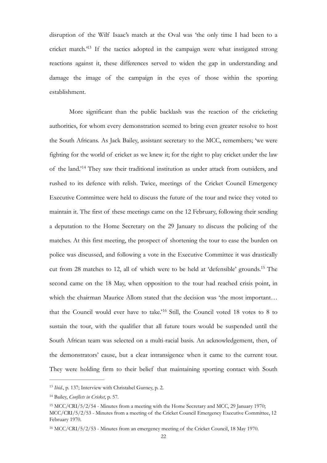<span id="page-21-4"></span>disruption of the Wilf Isaac's match at the Oval was 'the only time I had been to a cricket match.<sup> $13$ </sup> If the tactics adopted in the campaign were what instigated strong reactions against it, these differences served to widen the gap in understanding and damage the image of the campaign in the eyes of those within the sporting establishment.

<span id="page-21-5"></span> More significant than the public backlash was the reaction of the cricketing authorities, for whom every demonstration seemed to bring even greater resolve to host the South Africans. As Jack Bailey, assistant secretary to the MCC, remembers; 'we were fighting for the world of cricket as we knew it; for the right to play cricket under the law of the land.'<sup>[14](#page-21-1)</sup> They saw their traditional institution as under attack from outsiders, and rushed to its defence with relish. Twice, meetings of the Cricket Council Emergency Executive Committee were held to discuss the future of the tour and twice they voted to maintain it. The first of these meetings came on the 12 February, following their sending a deputation to the Home Secretary on the 29 January to discuss the policing of the matches. At this first meeting, the prospect of shortening the tour to ease the burden on police was discussed, and following a vote in the Executive Committee it was drastically cut from 28 matches to 12, all of which were to be held at 'defensible' grounds[.](#page-21-2)<sup>[15](#page-21-2)</sup> The second came on the 18 May, when opposition to the tour had reached crisis point, in which the chairman Maurice Allom stated that the decision was 'the most important… that the Council would ever have to take.'<sup>[16](#page-21-3)</sup> Still, the Council voted 18 votes to 8 to sustain the tour, with the qualifier that all future tours would be suspended until the South African team was selected on a multi-racial basis. An acknowledgement, then, of the demonstrators' cause, but a clear intransigence when it came to the current tour. They were holding firm to their belief that maintaining sporting contact with South

<span id="page-21-7"></span><span id="page-21-6"></span><span id="page-21-0"></span><sup>&</sup>lt;sup>[13](#page-21-4)</sup> *Ibid.*, p. 137; Interview with Christabel Gurney, p. 2.

<span id="page-21-1"></span><sup>&</sup>lt;sup>[14](#page-21-5)</sup> Bailey, *Conflicts in Cricket*, p. 57.

<span id="page-21-2"></span><sup>&</sup>lt;sup>[15](#page-21-6)</sup> MCC/CRI/5/2/54 - Minutes from a meeting with the Home Secretary and MCC, 29 January 1970; MCC/CRI/5/2/53 - Minutes from a meeting of the Cricket Council Emergency Executive Committee, 12 February 1970.

<span id="page-21-3"></span><sup>&</sup>lt;sup>[16](#page-21-7)</sup> MCC/CRI/5/2/53 - Minutes from an emergency meeting of the Cricket Council, 18 May 1970.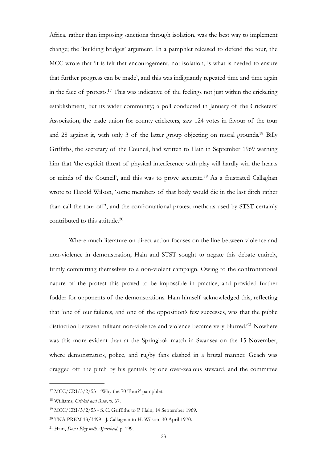<span id="page-22-5"></span>Africa, rather than imposing sanctions through isolation, was the best way to implement change; the 'building bridges' argument. In a pamphlet released to defend the tour, the MCC wrote that 'it is felt that encouragement, not isolation, is what is needed to ensure that further progress can be made', and this was indignantly repeated time and time again in the face of protests.<sup>[17](#page-22-0)</sup> This was indicative of the feelings not just within the cricketing establishment, but its wider community; a poll conducted in January of the Cricketers' Association, the trade union for county cricketers, saw 124 votes in favour of the tour and 28 against it, with only 3 of the latter group objecting on moral grounds.<sup>[18](#page-22-1)</sup> Billy Griffiths, the secretary of the Council, had written to Hain in September 1969 warning him that 'the explicit threat of physical interference with play will hardly win the hearts or minds of the Council', and this was to prove accurate.<sup>[19](#page-22-2)</sup> As a frustrated Callaghan wrote to Harold Wilson, 'some members of that body would die in the last ditch rather than call the tour off', and the confrontational protest methods used by STST certainly contributed to this attitude.<sup>[20](#page-22-3)</sup>

<span id="page-22-8"></span><span id="page-22-7"></span><span id="page-22-6"></span> Where much literature on direct action focuses on the line between violence and non-violence in demonstration, Hain and STST sought to negate this debate entirely, firmly committing themselves to a non-violent campaign. Owing to the confrontational nature of the protest this proved to be impossible in practice, and provided further fodder for opponents of the demonstrations. Hain himself acknowledged this, reflecting that 'one of our failures, and one of the opposition's few successes, was that the public distinction between militant non-violence and violence became very blurred.<sup>[21](#page-22-4)</sup> Nowhere was this more evident than at the Springbok match in Swansea on the 15 November, where demonstrators, police, and rugby fans clashed in a brutal manner. Geach was dragged off the pitch by his genitals by one over-zealous steward, and the committee

<span id="page-22-9"></span><span id="page-22-0"></span> $17 \text{ MCC/CRI}/5/2/53$  $17 \text{ MCC/CRI}/5/2/53$  - 'Why the 70 Tour?' pamphlet.

<span id="page-22-1"></span>Williams, *Cricket and Race,* p. 67. [18](#page-22-6)

<span id="page-22-2"></span> $19$  MCC/CRI/5/2/53 - S. C. Griffiths to P. Hain, 14 September 1969.

<span id="page-22-3"></span><sup>&</sup>lt;sup>[20](#page-22-8)</sup> TNA PREM 13/3499 - J. Callaghan to H. Wilson, 30 April 1970.

<span id="page-22-4"></span><sup>&</sup>lt;sup>[21](#page-22-9)</sup> Hain, *Don't Play with Apartheid*, p. 199.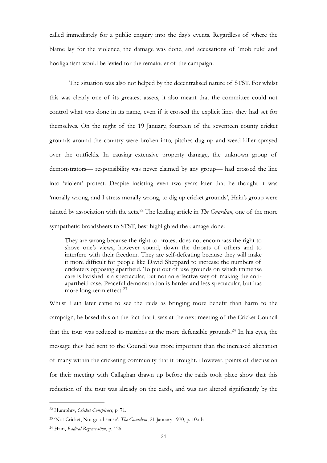called immediately for a public enquiry into the day's events. Regardless of where the blame lay for the violence, the damage was done, and accusations of 'mob rule' and hooliganism would be levied for the remainder of the campaign.

 The situation was also not helped by the decentralised nature of STST. For whilst this was clearly one of its greatest assets, it also meant that the committee could not control what was done in its name, even if it crossed the explicit lines they had set for themselves. On the night of the 19 January, fourteen of the seventeen county cricket grounds around the country were broken into, pitches dug up and weed killer sprayed over the outfields. In causing extensive property damage, the unknown group of demonstrators— responsibility was never claimed by any group— had crossed the line into 'violent' protest. Despite insisting even two years later that he thought it was 'morally wrong, and I stress morally wrong, to dig up cricket grounds', Hain's group were tainted by association with the acts.<sup>[22](#page-23-0)</sup> The leading article in *The Guardian*, one of the more sympathetic broadsheets to STST, best highlighted the damage done:

<span id="page-23-3"></span>They are wrong because the right to protest does not encompass the right to shove one's views, however sound, down the throats of others and to interfere with their freedom. They are self-defeating because they will make it more difficult for people like David Sheppard to increase the numbers of cricketers opposing apartheid. To put out of use grounds on which immense care is lavished is a spectacular, but not an effective way of making the antiapartheid case. Peaceful demonstration is harder and less spectacular, but has more long-term effect.<sup>[23](#page-23-1)</sup>

<span id="page-23-5"></span><span id="page-23-4"></span>Whilst Hain later came to see the raids as bringing more benefit than harm to the campaign, he based this on the fact that it was at the next meeting of the Cricket Council that the tour was reduced to matches at the more defensible grounds.<sup>[24](#page-23-2)</sup> In his eyes, the message they had sent to the Council was more important than the increased alienation of many within the cricketing community that it brought. However, points of discussion for their meeting with Callaghan drawn up before the raids took place show that this reduction of the tour was already on the cards, and was not altered significantly by the

<span id="page-23-0"></span>Humphry, *Cricket Conspiracy*, p. 71. [22](#page-23-3)

<span id="page-23-1"></span><sup>&</sup>lt;sup>[23](#page-23-4)</sup> Not Cricket, Not good sense', *The Guardian*, 21 January 1970, p. 10a-b.

<span id="page-23-2"></span><sup>&</sup>lt;sup>[24](#page-23-5)</sup> Hain, *Radical Regeneration*, p. 126.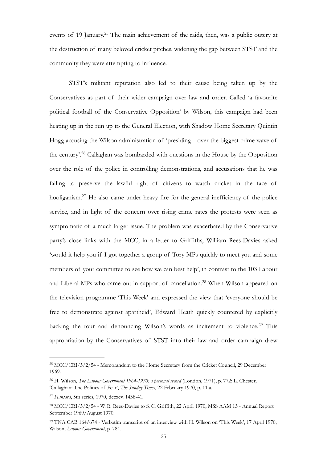<span id="page-24-5"></span>events of 19 January.<sup>[25](#page-24-0)</sup> The main achievement of the raids, then, was a public outcry at the destruction of many beloved cricket pitches, widening the gap between STST and the community they were attempting to influence.

<span id="page-24-7"></span><span id="page-24-6"></span> STST's militant reputation also led to their cause being taken up by the Conservatives as part of their wider campaign over law and order. Called 'a favourite political football of the Conservative Opposition' by Wilson, this campaign had been heating up in the run up to the General Election, with Shadow Home Secretary Quintin Hogg accusing the Wilson administration of 'presiding…over the biggest crime wave of the century'.<sup>[26](#page-24-1)</sup> Callaghan was bombarded with questions in the House by the Opposition over the role of the police in controlling demonstrations, and accusations that he was failing to preserve the lawful right of citizens to watch cricket in the face of hooliganism.<sup>[27](#page-24-2)</sup> He also came under heavy fire for the general inefficiency of the police service, and in light of the concern over rising crime rates the protests were seen as symptomatic of a much larger issue. The problem was exacerbated by the Conservative party's close links with the MCC; in a letter to Griffiths, William Rees-Davies asked 'would it help you if I got together a group of Tory MPs quickly to meet you and some members of your committee to see how we can best help', in contrast to the 103 Labour and Liberal MPs who came out in support of cancellation.<sup>[28](#page-24-3)</sup> When Wilson appeared on the television programme 'This Week' and expressed the view that 'everyone should be free to demonstrate against apartheid', Edward Heath quickly countered by explicitly backing the tour and denouncing Wilson's words as incitement to violence.<sup>[29](#page-24-4)</sup> This appropriation by the Conservatives of STST into their law and order campaign drew

<span id="page-24-9"></span><span id="page-24-8"></span><span id="page-24-0"></span><sup>&</sup>lt;sup>[25](#page-24-5)</sup> MCC/CRI/5/2/54 - Memorandum to the Home Secretary from the Cricket Council, 29 December 1969.

<span id="page-24-1"></span><sup>&</sup>lt;sup>[26](#page-24-6)</sup> H. Wilson, *The Labour Government 1964-1970: a personal record* (London, 1971), p. 772; L. Chester, 'Callaghan: The Politics of Fear', *The Sunday Times*, 22 February 1970, p. 11.a.

<span id="page-24-2"></span><sup>&</sup>lt;sup>[27](#page-24-7)</sup> Hansard, 5th series, 1970, dccxcv. 1438-41.

<span id="page-24-3"></span><sup>&</sup>lt;sup>[28](#page-24-8)</sup> MCC/CRI/5/2/54 - W. R. Rees-Davies to S. C. Griffith, 22 April 1970; MSS AAM 13 - Annual Report September 1969/August 1970.

<span id="page-24-4"></span><sup>&</sup>lt;sup>[29](#page-24-9)</sup> TNA CAB 164/674 - Verbatim transcript of an interview with H. Wilson on 'This Week', 17 April 1970; Wilson, *Labour Government*, p. 784.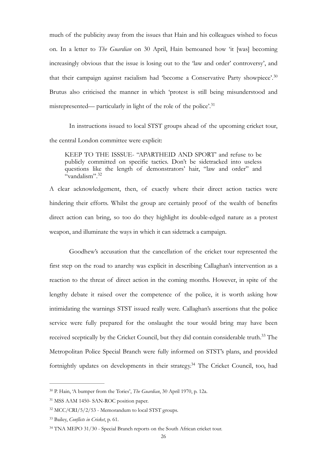much of the publicity away from the issues that Hain and his colleagues wished to focus on. In a letter to *The Guardian* on 30 April, Hain bemoaned how 'it [was] becoming increasingly obvious that the issue is losing out to the 'law and order' controversy', and that their campaign against racialism had 'become a Conservative Party showpiece'.[30](#page-25-0) Brutus also criticised the manner in which 'protest is still being misunderstood and misrepresented— particularly in light of the role of the police'.[31](#page-25-1)

 In instructions issued to local STST groups ahead of the upcoming cricket tour, the central London committee were explicit:

<span id="page-25-7"></span><span id="page-25-6"></span><span id="page-25-5"></span>KEEP TO THE ISSSUE- "APARTHEID AND SPORT' and refuse to be publicly committed on specific tactics. Don't be sidetracked into useless questions like the length of demonstrators' hair, "law and order" and "vandalism".<sup>[32](#page-25-2)</sup>

A clear acknowledgement, then, of exactly where their direct action tactics were hindering their efforts. Whilst the group are certainly proof of the wealth of benefits direct action can bring, so too do they highlight its double-edged nature as a protest weapon, and illuminate the ways in which it can sidetrack a campaign.

 Goodhew's accusation that the cancellation of the cricket tour represented the first step on the road to anarchy was explicit in describing Callaghan's intervention as a reaction to the threat of direct action in the coming months. However, in spite of the lengthy debate it raised over the competence of the police, it is worth asking how intimidating the warnings STST issued really were. Callaghan's assertions that the police service were fully prepared for the onslaught the tour would bring may have been received sceptically by the Cricket Council, but they did contain considerable truth.<sup>[33](#page-25-3)</sup> The Metropolitan Police Special Branch were fully informed on STST's plans, and provided fortnightly updates on developments in their strategy.<sup>[34](#page-25-4)</sup> The Cricket Council, too, had

<span id="page-25-9"></span><span id="page-25-8"></span><span id="page-25-0"></span><sup>&</sup>lt;sup>[30](#page-25-5)</sup> P. Hain, 'A bumper from the Tories', *The Guardian*, 30 April 1970, p. 12a.

<span id="page-25-1"></span><sup>&</sup>lt;sup>[31](#page-25-6)</sup> MSS AAM 1450- SAN-ROC position paper.

<span id="page-25-2"></span> $32 \text{ MCC/CRI}/5/2/53$  $32 \text{ MCC/CRI}/5/2/53$  - Memorandum to local STST groups.

<span id="page-25-3"></span>Bailey, *Conflicts in Cricket*, p. 61. [33](#page-25-8)

<span id="page-25-4"></span><sup>&</sup>lt;sup>[34](#page-25-9)</sup> TNA MEPO 31/30 - Special Branch reports on the South African cricket tour.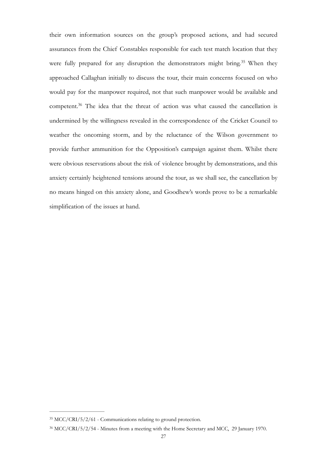<span id="page-26-3"></span><span id="page-26-2"></span>their own information sources on the group's proposed actions, and had secured assurances from the Chief Constables responsible for each test match location that they were fully prepared for any disruption the demonstrators might bring.<sup>[35](#page-26-0)</sup> When they approached Callaghan initially to discuss the tour, their main concerns focused on who would pay for the manpower required, not that such manpower would be available and competent.<sup>[36](#page-26-1)</sup> The idea that the threat of action was what caused the cancellation is undermined by the willingness revealed in the correspondence of the Cricket Council to weather the oncoming storm, and by the reluctance of the Wilson government to provide further ammunition for the Opposition's campaign against them. Whilst there were obvious reservations about the risk of violence brought by demonstrations, and this anxiety certainly heightened tensions around the tour, as we shall see, the cancellation by no means hinged on this anxiety alone, and Goodhew's words prove to be a remarkable simplification of the issues at hand.

<span id="page-26-0"></span><sup>&</sup>lt;sup>[35](#page-26-2)</sup> MCC/CRI/5/2/61 - Communications relating to ground protection.

<span id="page-26-1"></span><sup>&</sup>lt;sup>[36](#page-26-3)</sup> MCC/CRI/5/2/54 - Minutes from a meeting with the Home Secretary and MCC, 29 January 1970.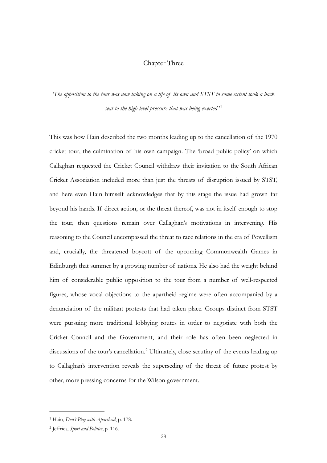#### <span id="page-27-2"></span>Chapter Three

*'The opposition to the tour was now taking on a life of its own and STST to some extent took a back seat to the high-level pressure that was being exerted* ' [1](#page-27-0)

This was how Hain described the two months leading up to the cancellation of the 1970 cricket tour, the culmination of his own campaign. The 'broad public policy' on which Callaghan requested the Cricket Council withdraw their invitation to the South African Cricket Association included more than just the threats of disruption issued by STST, and here even Hain himself acknowledges that by this stage the issue had grown far beyond his hands. If direct action, or the threat thereof, was not in itself enough to stop the tour, then questions remain over Callaghan's motivations in intervening. His reasoning to the Council encompassed the threat to race relations in the era of Powellism and, crucially, the threatened boycott of the upcoming Commonwealth Games in Edinburgh that summer by a growing number of nations. He also had the weight behind him of considerable public opposition to the tour from a number of well-respected figures, whose vocal objections to the apartheid regime were often accompanied by a denunciation of the militant protests that had taken place. Groups distinct from STST were pursuing more traditional lobbying routes in order to negotiate with both the Cricket Council and the Government, and their role has often been neglected in discussions of the tour's cancellation.<sup>[2](#page-27-1)</sup> Ultimately, close scrutiny of the events leading up to Callaghan's intervention reveals the superseding of the threat of future protest by other, more pressing concerns for the Wilson government.

<span id="page-27-3"></span><span id="page-27-0"></span><sup>&</sup>lt;sup>[1](#page-27-2)</sup> Hain, *Don't Play with Apartheid*, p. 178.

<span id="page-27-1"></span><sup>&</sup>lt;sup>[2](#page-27-3)</sup> Jeffries, *Sport and Politics*, p. 116.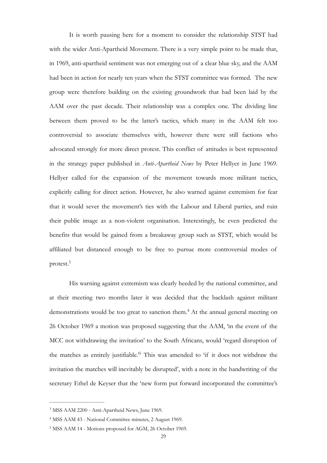It is worth pausing here for a moment to consider the relationship STST had with the wider Anti-Apartheid Movement. There is a very simple point to be made that, in 1969, anti-apartheid sentiment was not emerging out of a clear blue sky, and the AAM had been in action for nearly ten years when the STST committee was formed. The new group were therefore building on the existing groundwork that had been laid by the AAM over the past decade. Their relationship was a complex one. The dividing line between them proved to be the latter's tactics, which many in the AAM felt too controversial to associate themselves with, however there were still factions who advocated strongly for more direct protest. This conflict of attitudes is best represented in the strategy paper published in *Anti-Apartheid News* by Peter Hellyer in June 1969. Hellyer called for the expansion of the movement towards more militant tactics, explicitly calling for direct action. However, he also warned against extremism for fear that it would sever the movement's ties with the Labour and Liberal parties, and ruin their public image as a non-violent organisation. Interestingly, he even predicted the benefits that would be gained from a breakaway group such as STST, which would be affiliated but distanced enough to be free to pursue more controversial modes of protest.<sup>3</sup>

<span id="page-28-4"></span><span id="page-28-3"></span> His warning against extremism was clearly heeded by the national committee, and at their meeting two months later it was decided that the backlash against militant demonstrations would be too great to sanction them.<sup>[4](#page-28-1)</sup> At the annual general meeting on 26 October 1969 a motion was proposed suggesting that the AAM, 'in the event of the MCC not withdrawing the invitation' to the South Africans, would 'regard disruption of the matches as entirely justifiable.<sup>[5](#page-28-2)</sup> This was amended to 'if it does not withdraw the invitation the matches will inevitably be disrupted', with a note in the handwriting of the secretary Ethel de Keyser that the 'new form put forward incorporated the committee's

<span id="page-28-5"></span><span id="page-28-0"></span><sup>&</sup>lt;sup>[3](#page-28-3)</sup> MSS AAM 2200 - Anti-Apartheid News, June 1969.

<span id="page-28-1"></span><sup>&</sup>lt;sup>[4](#page-28-4)</sup> MSS AAM 43 - National Committee minutes, 2 August 1969.

<span id="page-28-2"></span><sup>&</sup>lt;sup>[5](#page-28-5)</sup> MSS AAM 14 - Motions proposed for AGM, 26 October 1969.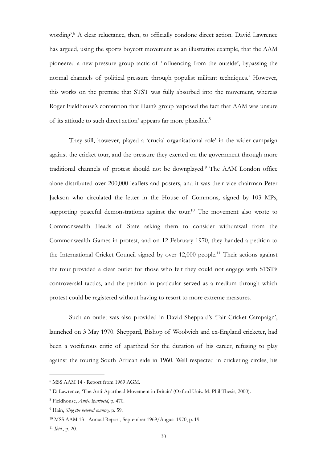<span id="page-29-7"></span><span id="page-29-6"></span>wording'[.](#page-29-0)<sup>[6](#page-29-0)</sup> A clear reluctance, then, to officially condone direct action. David Lawrence has argued, using the sports boycott movement as an illustrative example, that the AAM pioneered a new pressure group tactic of 'influencing from the outside', bypassing the normalchannels of political pressure through populist militant techniques.<sup>[7](#page-29-1)</sup> However, this works on the premise that STST was fully absorbed into the movement, whereas Roger Fieldhouse's contention that Hain's group 'exposed the fact that AAM was unsure of its attitude to such direct action' appears far more plausible[.8](#page-29-2)

<span id="page-29-10"></span><span id="page-29-9"></span><span id="page-29-8"></span> They still, however, played a 'crucial organisational role' in the wider campaign against the cricket tour, and the pressure they exerted on the government through more traditionalchannels of protest should not be downplayed.<sup>[9](#page-29-3)</sup> The AAM London office alone distributed over 200,000 leaflets and posters, and it was their vice chairman Peter Jackson who circulated the letter in the House of Commons, signed by 103 MPs, supporting peaceful demonstrations against the tour.<sup>[10](#page-29-4)</sup> The movement also wrote to Commonwealth Heads of State asking them to consider withdrawal from the Commonwealth Games in protest, and on 12 February 1970, they handed a petition to the International Cricket Council signed by over  $12,000$  people.<sup>[11](#page-29-5)</sup> Their actions against the tour provided a clear outlet for those who felt they could not engage with STST's controversial tactics, and the petition in particular served as a medium through which protest could be registered without having to resort to more extreme measures.

<span id="page-29-11"></span> Such an outlet was also provided in David Sheppard's 'Fair Cricket Campaign', launched on 3 May 1970. Sheppard, Bishop of Woolwich and ex-England cricketer, had been a vociferous critic of apartheid for the duration of his career, refusing to play against the touring South African side in 1960. Well respected in cricketing circles, his

<span id="page-29-0"></span> $6$  MSS AAM 14 - Report from 1969 AGM.

<span id="page-29-1"></span>D. Lawrence, 'The Anti-Apartheid Movement in Britain' (Oxford Univ. M. Phil Thesis, 2000). [7](#page-29-7)

<span id="page-29-2"></span>Fieldhouse, *Anti-Apartheid*, p. 470. [8](#page-29-8)

<span id="page-29-3"></span><sup>&</sup>lt;sup>[9](#page-29-9)</sup> Hain, *Sing the beloved country*, p. 59.

<span id="page-29-4"></span><sup>&</sup>lt;sup>[10](#page-29-10)</sup> MSS AAM 13 - Annual Report, September 1969/August 1970, p. 19.

<span id="page-29-5"></span><sup>&</sup>lt;sup>[11](#page-29-11)</sup> *Ibid.*, p. 20.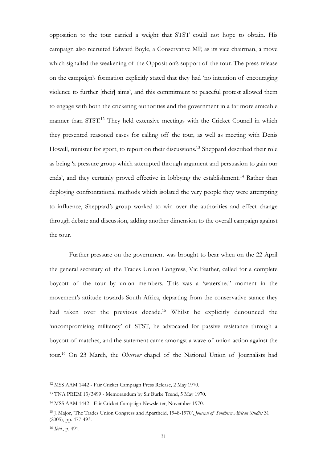<span id="page-30-5"></span>opposition to the tour carried a weight that STST could not hope to obtain. His campaign also recruited Edward Boyle, a Conservative MP, as its vice chairman, a move which signalled the weakening of the Opposition's support of the tour. The press release on the campaign's formation explicitly stated that they had 'no intention of encouraging violence to further [their] aims', and this commitment to peaceful protest allowed them to engage with both the cricketing authorities and the government in a far more amicable manner than  $STST^{12}$  $STST^{12}$  $STST^{12}$  They held extensive meetings with the Cricket Council in which they presented reasoned cases for calling off the tour, as well as meeting with Denis Howell, minister for sport, to report on their discussions.<sup>[13](#page-30-1)</sup> Sheppard described their role as being 'a pressure group which attempted through argument and persuasion to gain our ends', and they certainly proved effective in lobbying the establishment.<sup>[14](#page-30-2)</sup> Rather than deploying confrontational methods which isolated the very people they were attempting to influence, Sheppard's group worked to win over the authorities and effect change through debate and discussion, adding another dimension to the overall campaign against the tour.

<span id="page-30-8"></span><span id="page-30-7"></span><span id="page-30-6"></span> Further pressure on the government was brought to bear when on the 22 April the general secretary of the Trades Union Congress, Vic Feather, called for a complete boycott of the tour by union members. This was a 'watershed' moment in the movement's attitude towards South Africa, departing from the conservative stance they had taken over the previous decade.<sup>[15](#page-30-3)</sup> Whilst he explicitly denounced the 'uncompromising militancy' of STST, he advocated for passive resistance through a boycott of matches, and the statement came amongst a wave of union action against the tour.<sup>[16](#page-30-4)</sup> On 23 March, the *Observer* chapel of the National Union of Journalists had

<span id="page-30-9"></span><span id="page-30-0"></span><sup>&</sup>lt;sup>[12](#page-30-5)</sup> MSS AAM 1442 - Fair Cricket Campaign Press Release, 2 May 1970.

<span id="page-30-1"></span><sup>&</sup>lt;sup>[13](#page-30-6)</sup> TNA PREM 13/3499 - Memorandum by Sir Burke Trend, 5 May 1970.

<span id="page-30-2"></span><sup>&</sup>lt;sup>[14](#page-30-7)</sup> MSS AAM 1442 - Fair Cricket Campaign Newsletter, November 1970.

<span id="page-30-3"></span><sup>&</sup>lt;sup>[15](#page-30-8)</sup> J. Major, 'The Trades Union Congress and Apartheid, 1948-1970', *Journal of Southern African Studies* 31 (2005), pp. 477-493.

<span id="page-30-4"></span><sup>&</sup>lt;sup>[16](#page-30-9)</sup> *Ibid.*, p. 491.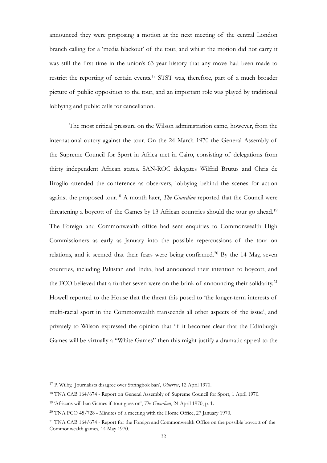announced they were proposing a motion at the next meeting of the central London branch calling for a 'media blackout' of the tour, and whilst the motion did not carry it was still the first time in the union's 63 year history that any move had been made to restrict the reporting of certain events.<sup>[17](#page-31-0)</sup> STST was, therefore, part of a much broader picture of public opposition to the tour, and an important role was played by traditional lobbying and public calls for cancellation.

<span id="page-31-7"></span><span id="page-31-6"></span><span id="page-31-5"></span> The most critical pressure on the Wilson administration came, however, from the international outcry against the tour. On the 24 March 1970 the General Assembly of the Supreme Council for Sport in Africa met in Cairo, consisting of delegations from thirty independent African states. SAN-ROC delegates Wilfrid Brutus and Chris de Broglio attended the conference as observers, lobbying behind the scenes for action against the proposed tour.<sup>[18](#page-31-1)</sup> A month later, *The Guardian* reported that the Council were threatening a boycott of the Games by 13 African countries should the tour go ahead.<sup>[19](#page-31-2)</sup> The Foreign and Commonwealth office had sent enquiries to Commonwealth High Commissioners as early as January into the possible repercussions of the tour on relations, and it seemed that their fears were being confirmed.<sup>[20](#page-31-3)</sup> By the 14 May, seven countries, including Pakistan and India, had announced their intention to boycott, and the FCO believed that a further seven were on the brink of announcing their solidarity.<sup>[21](#page-31-4)</sup> Howell reported to the House that the threat this posed to 'the longer-term interests of multi-racial sport in the Commonwealth transcends all other aspects of the issue', and privately to Wilson expressed the opinion that 'if it becomes clear that the Edinburgh Games will be virtually a "White Games" then this might justify a dramatic appeal to the

<span id="page-31-9"></span><span id="page-31-8"></span><span id="page-31-0"></span><sup>&</sup>lt;sup>[17](#page-31-5)</sup> P. Wilby, 'Journalists disagree over Springbok ban', *Observer*, 12 April 1970.

<span id="page-31-1"></span><sup>&</sup>lt;sup>[18](#page-31-6)</sup> TNA CAB 164/674 - Report on General Assembly of Supreme Council for Sport, 1 April 1970.

<span id="page-31-2"></span><sup>&</sup>lt;sup>[19](#page-31-7)</sup> 'Africans will ban Games if tour goes on', *The Guardian*, 24 April 1970, p. 1.

<span id="page-31-3"></span> $20$  TNA FCO 45/728 - Minutes of a meeting with the Home Office, 27 January 1970.

<span id="page-31-4"></span><sup>&</sup>lt;sup>[21](#page-31-9)</sup> TNA CAB 164/674 - Report for the Foreign and Commonwealth Office on the possible boycott of the Commonwealth games, 14 May 1970.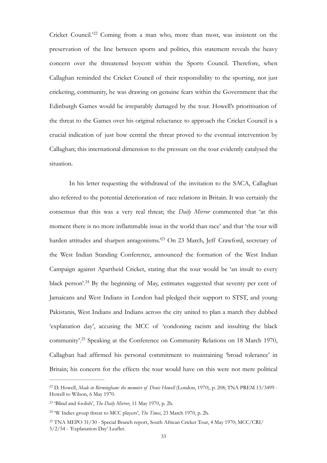<span id="page-32-4"></span>Cricket Council.<sup>[22](#page-32-0)2</sup> Coming from a man who, more than most, was insistent on the preservation of the line between sports and politics, this statement reveals the heavy concern over the threatened boycott within the Sports Council. Therefore, when Callaghan reminded the Cricket Council of their responsibility to the sporting, not just cricketing, community, he was drawing on genuine fears within the Government that the Edinburgh Games would be irreparably damaged by the tour. Howell's prioritisation of the threat to the Games over his original reluctance to approach the Cricket Council is a crucial indication of just how central the threat proved to the eventual intervention by Callaghan; this international dimension to the pressure on the tour evidently catalysed the situation.

<span id="page-32-5"></span> In his letter requesting the withdrawal of the invitation to the SACA, Callaghan also referred to the potential deterioration of race relations in Britain. It was certainly the consensus that this was a very real threat; the *Daily Mirror* commented that 'at this moment there is no more inflammable issue in the world than race' and that 'the tour will harden attitudes and sharpen antagonisms.<sup>[23](#page-32-1)</sup> On 23 March, Jeff Crawford, secretary of the West Indian Standing Conference, announced the formation of the West Indian Campaign against Apartheid Cricket, stating that the tour would be 'an insult to every black person'.<sup>[24](#page-32-2)</sup> By the beginning of May, estimates suggested that seventy per cent of Jamaicans and West Indians in London had pledged their support to STST, and young Pakistanis, West Indians and Indians across the city united to plan a march they dubbed 'explanation day', accusing the MCC of 'condoning racism and insulting the black community'.<sup>[25](#page-32-3)</sup> Speaking at the Conference on Community Relations on 18 March 1970, Callaghan had affirmed his personal commitment to maintaining 'broad tolerance' in Britain; his concern for the effects the tour would have on this were not mere political

<span id="page-32-7"></span><span id="page-32-6"></span><span id="page-32-0"></span><sup>&</sup>lt;sup>[22](#page-32-4)</sup> D. Howell, *Made in Birmingham: the memoirs of Denis Howell* (London, 1970), p. 208; TNA PREM 13/3499 -Howell to Wilson, 6 May 1970.

<span id="page-32-1"></span><sup>&</sup>lt;sup>[23](#page-32-5)</sup> 'Blind and foolish', *The Daily Mirror*, 11 May 1970, p. 2b.

<span id="page-32-2"></span><sup>&</sup>lt;sup>[24](#page-32-6)</sup> 'W Indies group threat to MCC players', *The Times*, 23 March 1970, p. 2b.

<span id="page-32-3"></span>TNA MEPO 31/30 - Special Branch report, South African Cricket Tour, 4 May 1970; MCC/CRI/ [25](#page-32-7) 5/2/54 - 'Explanation Day' Leaflet.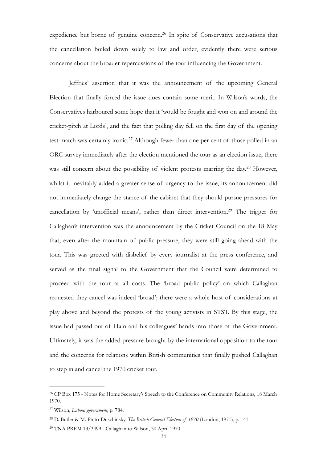<span id="page-33-4"></span>expedience but borne of genuine concern.<sup>[26](#page-33-0)</sup> In spite of Conservative accusations that the cancellation boiled down solely to law and order, evidently there were serious concerns about the broader repercussions of the tour influencing the Government.

<span id="page-33-7"></span><span id="page-33-6"></span><span id="page-33-5"></span> Jeffries' assertion that it was the announcement of the upcoming General Election that finally forced the issue does contain some merit. In Wilson's words, the Conservatives harboured some hope that it 'would be fought and won on and around the cricket-pitch at Lords', and the fact that polling day fell on the first day of the opening test match was certainly ironic.<sup>[27](#page-33-1)</sup> Although fewer than one per cent of those polled in an ORC survey immediately after the election mentioned the tour as an election issue, there was still concern about the possibility of violent protests marring the day[.](#page-33-2)<sup>[28](#page-33-2)</sup> However, whilst it inevitably added a greater sense of urgency to the issue, its announcement did not immediately change the stance of the cabinet that they should pursue pressures for cancellation by 'unofficial means', rather than direct intervention.<sup>[29](#page-33-3)</sup> The trigger for Callaghan's intervention was the announcement by the Cricket Council on the 18 May that, even after the mountain of public pressure, they were still going ahead with the tour. This was greeted with disbelief by every journalist at the press conference, and served as the final signal to the Government that the Council were determined to proceed with the tour at all costs. The 'broad public policy' on which Callaghan requested they cancel was indeed 'broad'; there were a whole host of considerations at play above and beyond the protests of the young activists in STST. By this stage, the issue had passed out of Hain and his colleagues' hands into those of the Government. Ultimately, it was the added pressure brought by the international opposition to the tour and the concerns for relations within British communities that finally pushed Callaghan to step in and cancel the 1970 cricket tour.

<span id="page-33-0"></span><sup>&</sup>lt;sup>[26](#page-33-4)</sup> CP Box 175 - Notes for Home Secretary's Speech to the Conference on Community Relations, 18 March 1970.

<span id="page-33-1"></span>Wilson, *Labour government*, p. 784. [27](#page-33-5)

<span id="page-33-2"></span><sup>&</sup>lt;sup>[28](#page-33-6)</sup> D. Butler & M. Pinto-Duschinsky, *The British General Election of 1970* (London, 1971), p. 141.

<span id="page-33-3"></span><sup>&</sup>lt;sup>[29](#page-33-7)</sup> TNA PREM 13/3499 - Callaghan to Wilson, 30 April 1970.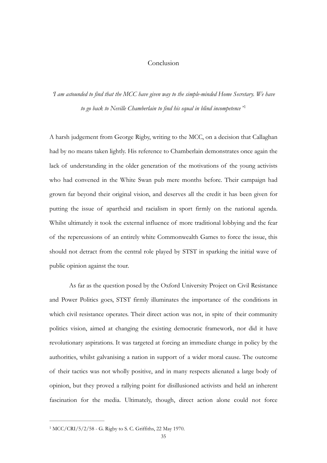## <span id="page-34-1"></span>Conclusion

*'I am astounded to find that the MCC have given way to the simple-minded Home Secretary. We have to go back to Neville Chamberlain to find his equal in blind incompetence* ' [1](#page-34-0)

A harsh judgement from George Rigby, writing to the MCC, on a decision that Callaghan had by no means taken lightly. His reference to Chamberlain demonstrates once again the lack of understanding in the older generation of the motivations of the young activists who had convened in the White Swan pub mere months before. Their campaign had grown far beyond their original vision, and deserves all the credit it has been given for putting the issue of apartheid and racialism in sport firmly on the national agenda. Whilst ultimately it took the external influence of more traditional lobbying and the fear of the repercussions of an entirely white Commonwealth Games to force the issue, this should not detract from the central role played by STST in sparking the initial wave of public opinion against the tour.

 As far as the question posed by the Oxford University Project on Civil Resistance and Power Politics goes, STST firmly illuminates the importance of the conditions in which civil resistance operates. Their direct action was not, in spite of their community politics vision, aimed at changing the existing democratic framework, nor did it have revolutionary aspirations. It was targeted at forcing an immediate change in policy by the authorities, whilst galvanising a nation in support of a wider moral cause. The outcome of their tactics was not wholly positive, and in many respects alienated a large body of opinion, but they proved a rallying point for disillusioned activists and held an inherent fascination for the media. Ultimately, though, direct action alone could not force

<span id="page-34-0"></span> $1 \text{MCC/CRI}/5/2/58$  $1 \text{MCC/CRI}/5/2/58$  - G. Rigby to S. C. Griffiths, 22 May 1970.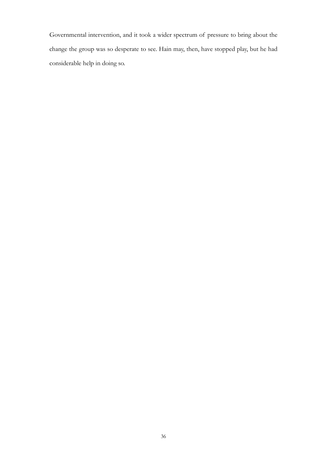Governmental intervention, and it took a wider spectrum of pressure to bring about the change the group was so desperate to see. Hain may, then, have stopped play, but he had considerable help in doing so.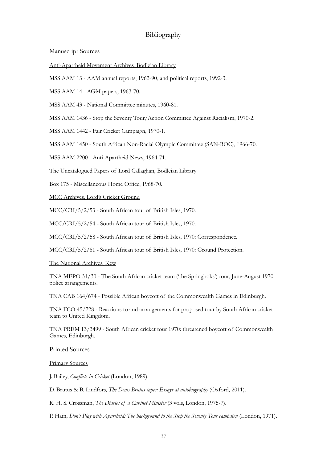## Bibliography

#### Manuscript Sources

Anti-Apartheid Movement Archives, Bodleian Library

MSS AAM 13 - AAM annual reports, 1962-90, and political reports, 1992-3.

MSS AAM 14 - AGM papers, 1963-70.

MSS AAM 43 - National Committee minutes, 1960-81.

MSS AAM 1436 - Stop the Seventy Tour/Action Committee Against Racialism, 1970-2.

MSS AAM 1442 - Fair Cricket Campaign, 1970-1.

MSS AAM 1450 - South African Non-Racial Olympic Committee (SAN-ROC), 1966-70.

MSS AAM 2200 - Anti-Apartheid News, 1964-71.

The Uncatalogued Papers of Lord Callaghan, Bodleian Library

Box 175 - Miscellaneous Home Office, 1968-70.

MCC Archives, Lord's Cricket Ground

MCC/CRI/5/2/53 - South African tour of British Isles, 1970.

MCC/CRI/5/2/54 - South African tour of British Isles, 1970.

MCC/CRI/5/2/58 - South African tour of British Isles, 1970: Correspondence.

MCC/CRI/5/2/61 - South African tour of British Isles, 1970: Ground Protection.

The National Archives, Kew

TNA MEPO 31/30 - The South African cricket team ('the Springboks') tour, June-August 1970: police arrangements.

TNA CAB 164/674 - Possible African boycott of the Commonwealth Games in Edinburgh.

TNA FCO 45/728 - Reactions to and arrangements for proposed tour by South African cricket team to United Kingdom.

TNA PREM 13/3499 - South African cricket tour 1970: threatened boycott of Commonwealth Games, Edinburgh.

#### Printed Sources

#### Primary Sources

J. Bailey, *Conflicts in Cricket* (London, 1989).

D. Brutus & B. Lindfors, *The Denis Brutus tapes: Essays at autobiography* (Oxford, 2011).

R. H. S. Crossman, *The Diaries of a Cabinet Minister* (3 vols, London, 1975-7).

P. Hain, *Don't Play with Apartheid: The background to the Stop the Seventy Tour campaign* (London, 1971).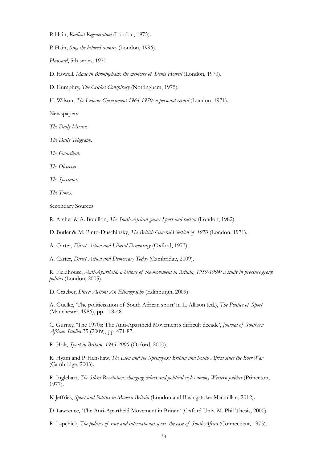P. Hain, *Radical Regeneration* (London, 1975).

P. Hain, *Sing the beloved country* (London, 1996).

*Hansard*, 5th series, 1970.

D. Howell, *Made in Birmingham: the memoirs of Denis Howell* (London, 1970).

D. Humphry, *The Cricket Conspiracy* (Nottingham, 1975).

H. Wilson, *The Labour Government 1964-1970: a personal record* (London, 1971).

**Newspapers** 

*The Daily Mirror.* 

*The Daily Telegraph.* 

*The Guardian.* 

*The Observer.* 

*The Spectator.* 

*The Times.* 

Secondary Sources

R. Archer & A. Bouillon, *The South African game: Sport and racism* (London, 1982).

D. Butler & M. Pinto-Duschinsky, *The British General Election of 1970* (London, 1971).

A. Carter, *Direct Action and Liberal Democracy* (Oxford, 1973).

A. Carter, *Direct Action and Democracy Today* (Cambridge, 2009).

R. Fieldhouse, *Anti-Apartheid: a history of the movement in Britain, 1959-1994: a study in pressure group politics* (London, 2005).

D. Graeber, *Direct Action: An Ethnography* (Edinburgh, 2009).

A. Guelke, 'The politicisation of South African sport' in L. Allison (ed.), *The Politics of Sport* (Manchester, 1986), pp. 118-48.

C. Gurney, 'The 1970s: The Anti-Apartheid Movement's difficult decade', *Journal of Southern African Studies* 35 (2009), pp. 471-87.

R. Holt, *Sport in Britain, 1945-2000* (Oxford, 2000).

R. Hyam and P. Henshaw, *The Lion and the Springbok: Britain and South Africa since the Boer War*  (Cambridge, 2003).

R. Inglehart, *The Silent Revolution: changing values and political styles among Western publics* (Princeton, 1977).

K Jeffries, *Sport and Politics in Modern Britain* (London and Basingstoke: Macmillan, 2012).

D. Lawrence, 'The Anti-Apartheid Movement in Britain' (Oxford Univ. M. Phil Thesis, 2000).

R. Lapchick, *The politics of race and international sport: the case of South Africa* (Connecticut, 1975).